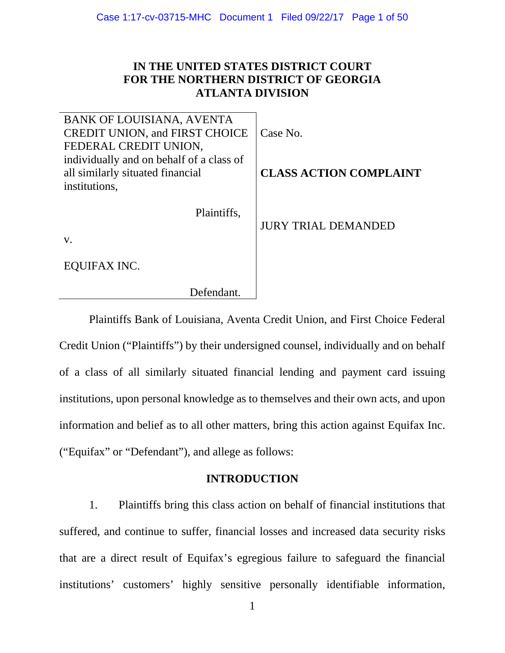# **IN THE UNITED STATES DISTRICT COURT FOR THE NORTHERN DISTRICT OF GEORGIA ATLANTA DIVISION**

| BANK OF LOUISIANA, AVENTA<br><b>CREDIT UNION, and FIRST CHOICE</b> | Case No.                      |
|--------------------------------------------------------------------|-------------------------------|
| FEDERAL CREDIT UNION,                                              |                               |
| individually and on behalf of a class of                           |                               |
| all similarly situated financial                                   | <b>CLASS ACTION COMPLAINT</b> |
| institutions,                                                      |                               |
| Plaintiffs,                                                        | <b>JURY TRIAL DEMANDED</b>    |
| $V_{\star}$                                                        |                               |
| EQUIFAX INC.                                                       |                               |
| Defendant.                                                         |                               |

Plaintiffs Bank of Louisiana, Aventa Credit Union, and First Choice Federal Credit Union ("Plaintiffs") by their undersigned counsel, individually and on behalf of a class of all similarly situated financial lending and payment card issuing institutions, upon personal knowledge as to themselves and their own acts, and upon information and belief as to all other matters, bring this action against Equifax Inc. ("Equifax" or "Defendant"), and allege as follows:

## **INTRODUCTION**

1. Plaintiffs bring this class action on behalf of financial institutions that suffered, and continue to suffer, financial losses and increased data security risks that are a direct result of Equifax's egregious failure to safeguard the financial institutions' customers' highly sensitive personally identifiable information,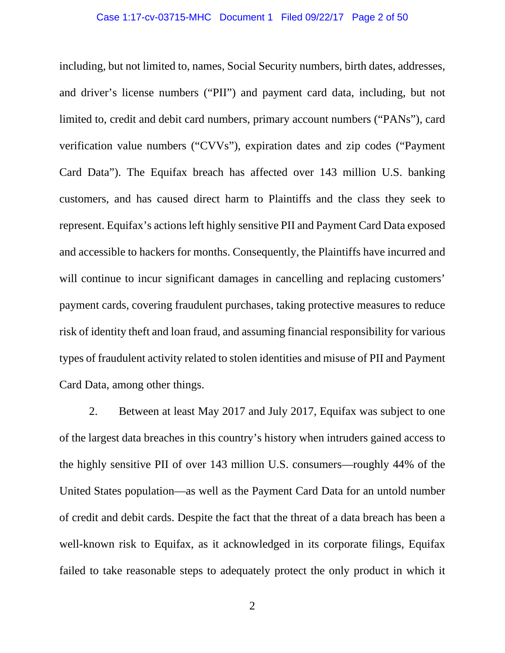including, but not limited to, names, Social Security numbers, birth dates, addresses, and driver's license numbers ("PII") and payment card data, including, but not limited to, credit and debit card numbers, primary account numbers ("PANs"), card verification value numbers ("CVVs"), expiration dates and zip codes ("Payment Card Data"). The Equifax breach has affected over 143 million U.S. banking customers, and has caused direct harm to Plaintiffs and the class they seek to represent. Equifax's actions left highly sensitive PII and Payment Card Data exposed and accessible to hackers for months. Consequently, the Plaintiffs have incurred and will continue to incur significant damages in cancelling and replacing customers' payment cards, covering fraudulent purchases, taking protective measures to reduce risk of identity theft and loan fraud, and assuming financial responsibility for various types of fraudulent activity related to stolen identities and misuse of PII and Payment Card Data, among other things.

2. Between at least May 2017 and July 2017, Equifax was subject to one of the largest data breaches in this country's history when intruders gained access to the highly sensitive PII of over 143 million U.S. consumers—roughly 44% of the United States population—as well as the Payment Card Data for an untold number of credit and debit cards. Despite the fact that the threat of a data breach has been a well-known risk to Equifax, as it acknowledged in its corporate filings, Equifax failed to take reasonable steps to adequately protect the only product in which it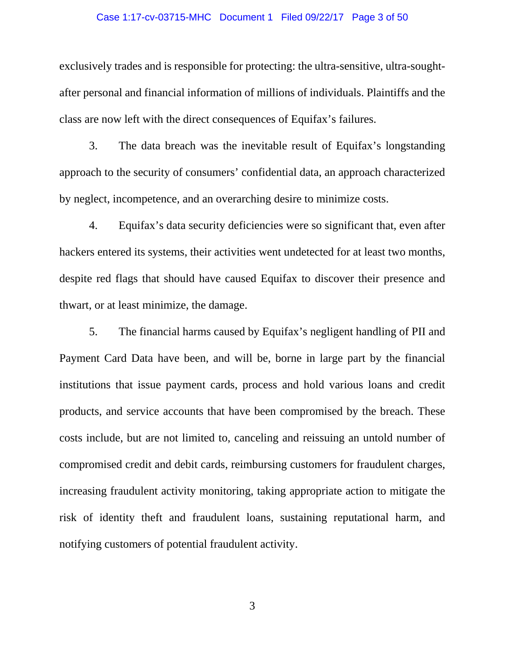#### Case 1:17-cv-03715-MHC Document 1 Filed 09/22/17 Page 3 of 50

exclusively trades and is responsible for protecting: the ultra-sensitive, ultra-soughtafter personal and financial information of millions of individuals. Plaintiffs and the class are now left with the direct consequences of Equifax's failures.

3. The data breach was the inevitable result of Equifax's longstanding approach to the security of consumers' confidential data, an approach characterized by neglect, incompetence, and an overarching desire to minimize costs.

4. Equifax's data security deficiencies were so significant that, even after hackers entered its systems, their activities went undetected for at least two months, despite red flags that should have caused Equifax to discover their presence and thwart, or at least minimize, the damage.

5. The financial harms caused by Equifax's negligent handling of PII and Payment Card Data have been, and will be, borne in large part by the financial institutions that issue payment cards, process and hold various loans and credit products, and service accounts that have been compromised by the breach. These costs include, but are not limited to, canceling and reissuing an untold number of compromised credit and debit cards, reimbursing customers for fraudulent charges, increasing fraudulent activity monitoring, taking appropriate action to mitigate the risk of identity theft and fraudulent loans, sustaining reputational harm, and notifying customers of potential fraudulent activity.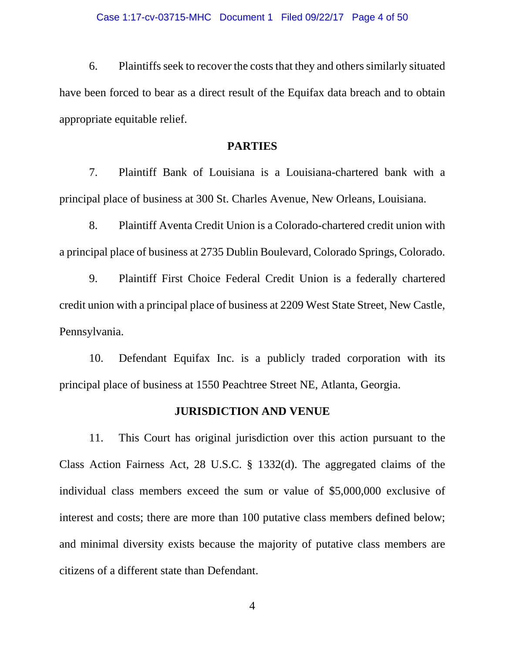6. Plaintiffs seek to recover the costs that they and others similarly situated have been forced to bear as a direct result of the Equifax data breach and to obtain appropriate equitable relief.

### **PARTIES**

7. Plaintiff Bank of Louisiana is a Louisiana-chartered bank with a principal place of business at 300 St. Charles Avenue, New Orleans, Louisiana.

8. Plaintiff Aventa Credit Union is a Colorado-chartered credit union with a principal place of business at 2735 Dublin Boulevard, Colorado Springs, Colorado.

9. Plaintiff First Choice Federal Credit Union is a federally chartered credit union with a principal place of business at 2209 West State Street, New Castle, Pennsylvania.

10. Defendant Equifax Inc. is a publicly traded corporation with its principal place of business at 1550 Peachtree Street NE, Atlanta, Georgia.

### **JURISDICTION AND VENUE**

11. This Court has original jurisdiction over this action pursuant to the Class Action Fairness Act, 28 U.S.C. § 1332(d). The aggregated claims of the individual class members exceed the sum or value of \$5,000,000 exclusive of interest and costs; there are more than 100 putative class members defined below; and minimal diversity exists because the majority of putative class members are citizens of a different state than Defendant.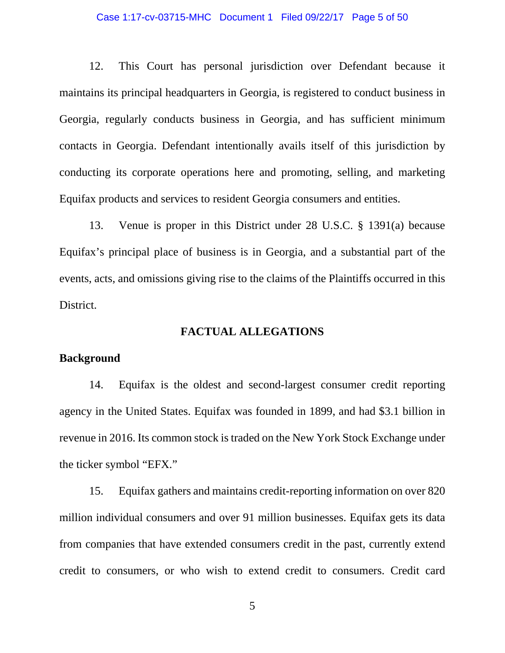#### Case 1:17-cv-03715-MHC Document 1 Filed 09/22/17 Page 5 of 50

12. This Court has personal jurisdiction over Defendant because it maintains its principal headquarters in Georgia, is registered to conduct business in Georgia, regularly conducts business in Georgia, and has sufficient minimum contacts in Georgia. Defendant intentionally avails itself of this jurisdiction by conducting its corporate operations here and promoting, selling, and marketing Equifax products and services to resident Georgia consumers and entities.

13. Venue is proper in this District under 28 U.S.C. § 1391(a) because Equifax's principal place of business is in Georgia, and a substantial part of the events, acts, and omissions giving rise to the claims of the Plaintiffs occurred in this District.

### **FACTUAL ALLEGATIONS**

### **Background**

14. Equifax is the oldest and second-largest consumer credit reporting agency in the United States. Equifax was founded in 1899, and had \$3.1 billion in revenue in 2016. Its common stock is traded on the New York Stock Exchange under the ticker symbol "EFX."

15. Equifax gathers and maintains credit-reporting information on over 820 million individual consumers and over 91 million businesses. Equifax gets its data from companies that have extended consumers credit in the past, currently extend credit to consumers, or who wish to extend credit to consumers. Credit card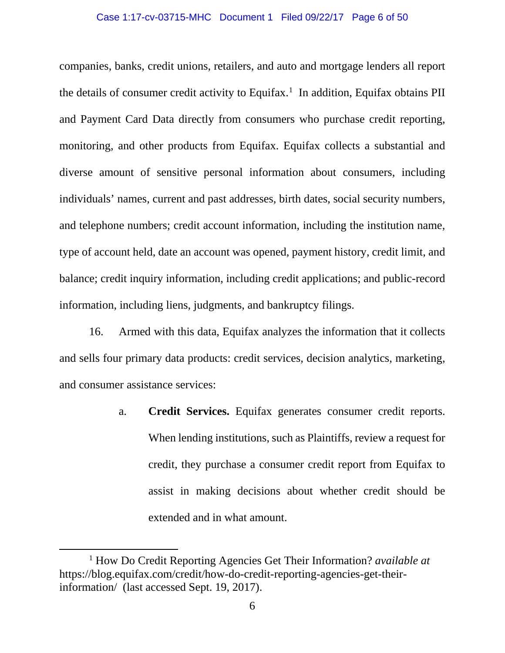#### Case 1:17-cv-03715-MHC Document 1 Filed 09/22/17 Page 6 of 50

companies, banks, credit unions, retailers, and auto and mortgage lenders all report the details of consumer credit activity to Equifax.<sup>[1](#page-5-0)</sup> In addition, Equifax obtains PII and Payment Card Data directly from consumers who purchase credit reporting, monitoring, and other products from Equifax. Equifax collects a substantial and diverse amount of sensitive personal information about consumers, including individuals' names, current and past addresses, birth dates, social security numbers, and telephone numbers; credit account information, including the institution name, type of account held, date an account was opened, payment history, credit limit, and balance; credit inquiry information, including credit applications; and public-record information, including liens, judgments, and bankruptcy filings.

16. Armed with this data, Equifax analyzes the information that it collects and sells four primary data products: credit services, decision analytics, marketing, and consumer assistance services:

> a. **Credit Services.** Equifax generates consumer credit reports. When lending institutions, such as Plaintiffs, review a request for credit, they purchase a consumer credit report from Equifax to assist in making decisions about whether credit should be extended and in what amount.

 $\overline{a}$ 

<span id="page-5-0"></span><sup>1</sup> How Do Credit Reporting Agencies Get Their Information? *available at*  https://blog.equifax.com/credit/how-do-credit-reporting-agencies-get-theirinformation/ (last accessed Sept. 19, 2017).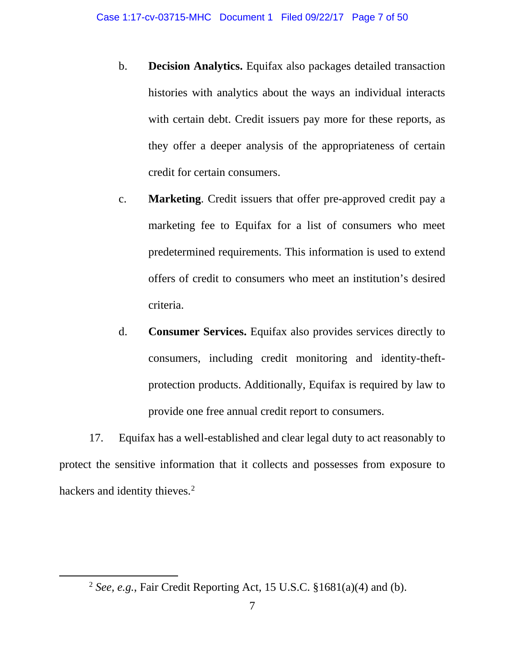- b. **Decision Analytics.** Equifax also packages detailed transaction histories with analytics about the ways an individual interacts with certain debt. Credit issuers pay more for these reports, as they offer a deeper analysis of the appropriateness of certain credit for certain consumers.
- c. **Marketing**. Credit issuers that offer pre-approved credit pay a marketing fee to Equifax for a list of consumers who meet predetermined requirements. This information is used to extend offers of credit to consumers who meet an institution's desired criteria.
- d. **Consumer Services.** Equifax also provides services directly to consumers, including credit monitoring and identity-theftprotection products. Additionally, Equifax is required by law to provide one free annual credit report to consumers.

17. Equifax has a well-established and clear legal duty to act reasonably to protect the sensitive information that it collects and possesses from exposure to hackers and identity thieves.<sup>[2](#page-6-0)</sup>

<span id="page-6-0"></span> $\overline{a}$ 

<sup>2</sup> *See, e.g.*, Fair Credit Reporting Act, 15 U.S.C. §1681(a)(4) and (b).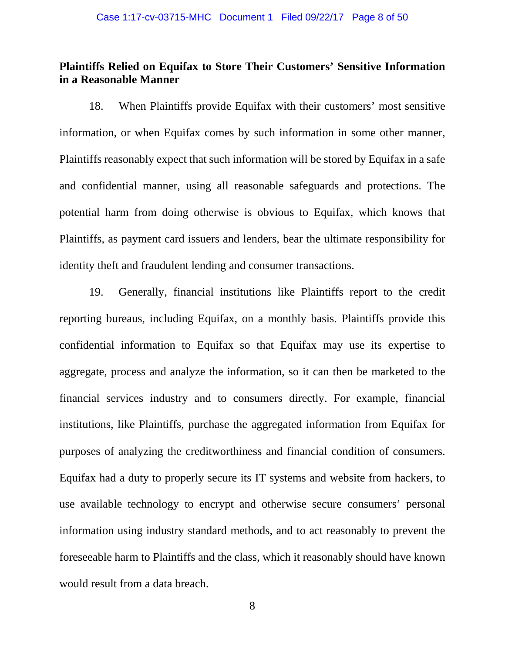## **Plaintiffs Relied on Equifax to Store Their Customers' Sensitive Information in a Reasonable Manner**

18. When Plaintiffs provide Equifax with their customers' most sensitive information, or when Equifax comes by such information in some other manner, Plaintiffs reasonably expect that such information will be stored by Equifax in a safe and confidential manner, using all reasonable safeguards and protections. The potential harm from doing otherwise is obvious to Equifax, which knows that Plaintiffs, as payment card issuers and lenders, bear the ultimate responsibility for identity theft and fraudulent lending and consumer transactions.

19. Generally, financial institutions like Plaintiffs report to the credit reporting bureaus, including Equifax, on a monthly basis. Plaintiffs provide this confidential information to Equifax so that Equifax may use its expertise to aggregate, process and analyze the information, so it can then be marketed to the financial services industry and to consumers directly. For example, financial institutions, like Plaintiffs, purchase the aggregated information from Equifax for purposes of analyzing the creditworthiness and financial condition of consumers. Equifax had a duty to properly secure its IT systems and website from hackers, to use available technology to encrypt and otherwise secure consumers' personal information using industry standard methods, and to act reasonably to prevent the foreseeable harm to Plaintiffs and the class, which it reasonably should have known would result from a data breach.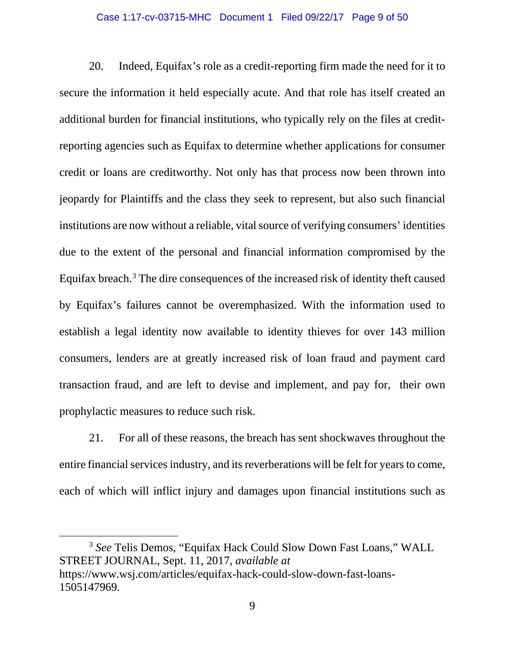#### Case 1:17-cv-03715-MHC Document 1 Filed 09/22/17 Page 9 of 50

20. Indeed, Equifax's role as a credit-reporting firm made the need for it to secure the information it held especially acute. And that role has itself created an additional burden for financial institutions, who typically rely on the files at creditreporting agencies such as Equifax to determine whether applications for consumer credit or loans are creditworthy. Not only has that process now been thrown into jeopardy for Plaintiffs and the class they seek to represent, but also such financial institutions are now without a reliable, vital source of verifying consumers' identities due to the extent of the personal and financial information compromised by the Equifax breach.[3](#page-8-0) The dire consequences of the increased risk of identity theft caused by Equifax's failures cannot be overemphasized. With the information used to establish a legal identity now available to identity thieves for over 143 million consumers, lenders are at greatly increased risk of loan fraud and payment card transaction fraud, and are left to devise and implement, and pay for, their own prophylactic measures to reduce such risk.

21. For all of these reasons, the breach has sent shockwaves throughout the entire financial services industry, and its reverberations will be felt for years to come, each of which will inflict injury and damages upon financial institutions such as

<span id="page-8-0"></span><sup>3</sup> *See* Telis Demos, "Equifax Hack Could Slow Down Fast Loans," WALL STREET JOURNAL, Sept. 11, 2017, *available at* https://www.wsj.com/articles/equifax-hack-could-slow-down-fast-loans-1505147969.

l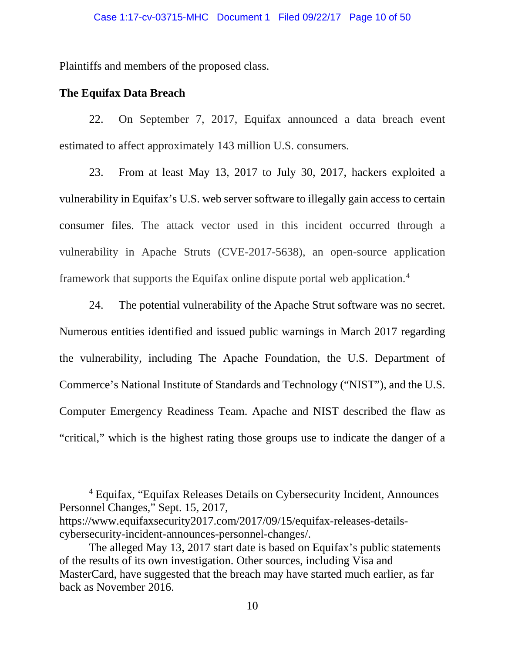Plaintiffs and members of the proposed class.

## **The Equifax Data Breach**

 $\overline{\phantom{a}}$ 

22. On September 7, 2017, Equifax announced a data breach event estimated to affect approximately 143 million U.S. consumers.

23. From at least May 13, 2017 to July 30, 2017, hackers exploited a vulnerability in Equifax's U.S. web server software to illegally gain access to certain consumer files. The attack vector used in this incident occurred through a vulnerability in Apache Struts (CVE-2017-5638), an open-source application framework that supports the Equifax online dispute portal web application.[4](#page-9-0)

24. The potential vulnerability of the Apache Strut software was no secret. Numerous entities identified and issued public warnings in March 2017 regarding the vulnerability, including The Apache Foundation, the U.S. Department of Commerce's National Institute of Standards and Technology ("NIST"), and the U.S. Computer Emergency Readiness Team. Apache and NIST described the flaw as "critical," which is the highest rating those groups use to indicate the danger of a

<span id="page-9-0"></span><sup>4</sup> Equifax, "Equifax Releases Details on Cybersecurity Incident, Announces Personnel Changes," Sept. 15, 2017,

https://www.equifaxsecurity2017.com/2017/09/15/equifax-releases-detailscybersecurity-incident-announces-personnel-changes/.

The alleged May 13, 2017 start date is based on Equifax's public statements of the results of its own investigation. Other sources, including Visa and MasterCard, have suggested that the breach may have started much earlier, as far back as November 2016.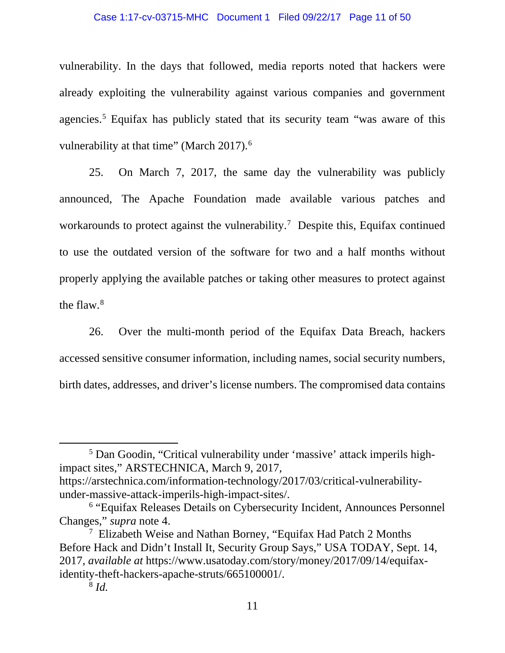#### Case 1:17-cv-03715-MHC Document 1 Filed 09/22/17 Page 11 of 50

vulnerability. In the days that followed, media reports noted that hackers were already exploiting the vulnerability against various companies and government agencies.<sup>[5](#page-10-0)</sup> Equifax has publicly stated that its security team "was aware of this vulnerability at that time" (March 2017).<sup>[6](#page-10-1)</sup>

25. On March 7, 2017, the same day the vulnerability was publicly announced, The Apache Foundation made available various patches and workarounds to protect against the vulnerability.<sup>[7](#page-10-2)</sup> Despite this, Equifax continued to use the outdated version of the software for two and a half months without properly applying the available patches or taking other measures to protect against the flaw. [8](#page-10-3)

26. Over the multi-month period of the Equifax Data Breach, hackers accessed sensitive consumer information, including names, social security numbers, birth dates, addresses, and driver's license numbers. The compromised data contains

<span id="page-10-0"></span><sup>5</sup> Dan Goodin, "Critical vulnerability under 'massive' attack imperils highimpact sites," ARSTECHNICA, March 9, 2017, https://arstechnica.com/information-technology/2017/03/critical-vulnerabilityunder-massive-attack-imperils-high-impact-sites/.

<span id="page-10-1"></span><sup>6</sup> "Equifax Releases Details on Cybersecurity Incident, Announces Personnel Changes," *supra* note 4.

<span id="page-10-3"></span><span id="page-10-2"></span><sup>7</sup> Elizabeth Weise and Nathan Borney, "Equifax Had Patch 2 Months Before Hack and Didn't Install It, Security Group Says," USA TODAY, Sept. 14, 2017, *available at* https://www.usatoday.com/story/money/2017/09/14/equifaxidentity-theft-hackers-apache-struts/665100001/.

<sup>8</sup> *Id.*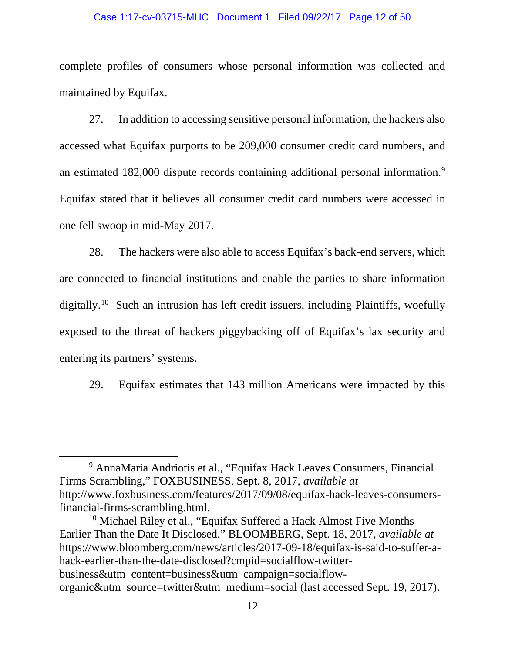#### Case 1:17-cv-03715-MHC Document 1 Filed 09/22/17 Page 12 of 50

complete profiles of consumers whose personal information was collected and maintained by Equifax.

27. In addition to accessing sensitive personal information, the hackers also accessed what Equifax purports to be 209,000 consumer credit card numbers, and an estimated 182,000 dispute records containing additional personal information.<sup>[9](#page-11-0)</sup> Equifax stated that it believes all consumer credit card numbers were accessed in one fell swoop in mid-May 2017.

28. The hackers were also able to access Equifax's back-end servers, which are connected to financial institutions and enable the parties to share information digitally.<sup>10</sup> Such an intrusion has left credit issuers, including Plaintiffs, woefully exposed to the threat of hackers piggybacking off of Equifax's lax security and entering its partners' systems.

29. Equifax estimates that 143 million Americans were impacted by this

<span id="page-11-0"></span><sup>9</sup> AnnaMaria Andriotis et al., "Equifax Hack Leaves Consumers, Financial Firms Scrambling," FOXBUSINESS, Sept. 8, 2017, *available at*  http://www.foxbusiness.com/features/2017/09/08/equifax-hack-leaves-consumersfinancial-firms-scrambling.html.

<span id="page-11-1"></span><sup>&</sup>lt;sup>10</sup> Michael Riley et al., "Equifax Suffered a Hack Almost Five Months" Earlier Than the Date It Disclosed," BLOOMBERG, Sept. 18, 2017, *available at* https://www.bloomberg.com/news/articles/2017-09-18/equifax-is-said-to-suffer-ahack-earlier-than-the-date-disclosed?cmpid=socialflow-twitterbusiness&utm\_content=business&utm\_campaign=socialfloworganic&utm\_source=twitter&utm\_medium=social (last accessed Sept. 19, 2017).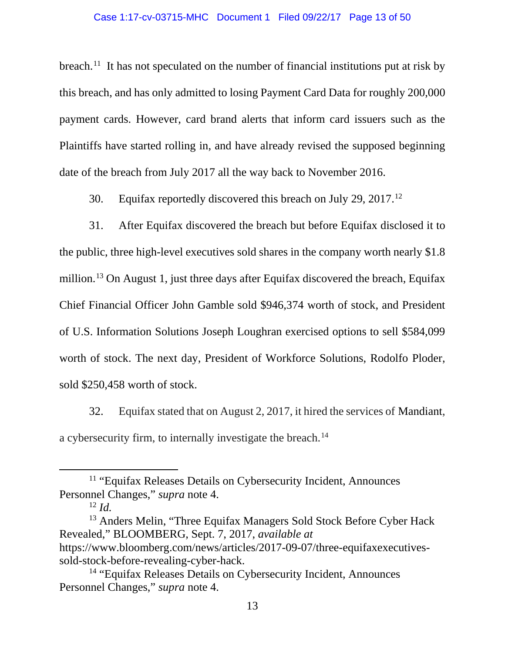#### Case 1:17-cv-03715-MHC Document 1 Filed 09/22/17 Page 13 of 50

breach.<sup>[11](#page-12-0)</sup> It has not speculated on the number of financial institutions put at risk by this breach, and has only admitted to losing Payment Card Data for roughly 200,000 payment cards. However, card brand alerts that inform card issuers such as the Plaintiffs have started rolling in, and have already revised the supposed beginning date of the breach from July 2017 all the way back to November 2016.

30. Equifax reportedly discovered this breach on July 29, 2017.[12](#page-12-1)

31. After Equifax discovered the breach but before Equifax disclosed it to the public, three high-level executives sold shares in the company worth nearly \$1.8 million.[13](#page-12-2) On August 1, just three days after Equifax discovered the breach, Equifax Chief Financial Officer John Gamble sold \$946,374 worth of stock, and President of U.S. Information Solutions Joseph Loughran exercised options to sell \$584,099 worth of stock. The next day, President of Workforce Solutions, Rodolfo Ploder, sold \$250,458 worth of stock.

32. Equifax stated that on August 2, 2017, it hired the services of Mandiant, a cybersecurity firm, to internally investigate the breach.<sup>[14](#page-12-3)</sup>

<span id="page-12-0"></span><sup>11</sup> "Equifax Releases Details on Cybersecurity Incident, Announces Personnel Changes," *supra* note 4.

 $12 \, \text{Id}$ 

<span id="page-12-2"></span><span id="page-12-1"></span><sup>&</sup>lt;sup>13</sup> Anders Melin, "Three Equifax Managers Sold Stock Before Cyber Hack Revealed," BLOOMBERG, Sept. 7, 2017, *available at* https://www.bloomberg.com/news/articles/2017-09-07/three-equifaxexecutivessold-stock-before-revealing-cyber-hack.

<span id="page-12-3"></span><sup>14</sup> "Equifax Releases Details on Cybersecurity Incident, Announces Personnel Changes," *supra* note 4.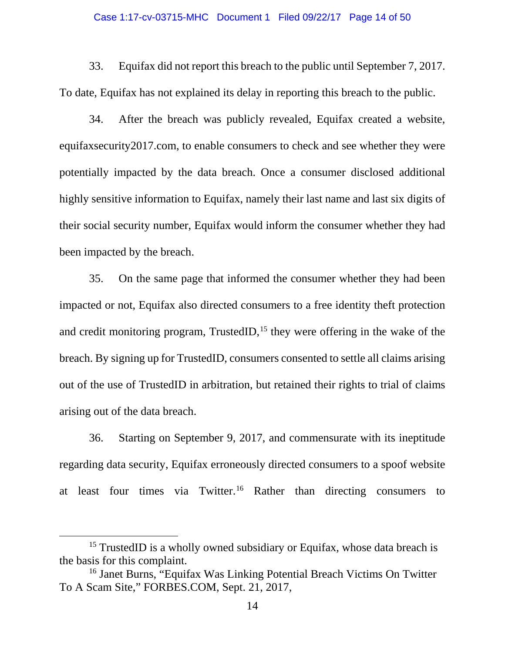#### Case 1:17-cv-03715-MHC Document 1 Filed 09/22/17 Page 14 of 50

33. Equifax did not report this breach to the public until September 7, 2017. To date, Equifax has not explained its delay in reporting this breach to the public.

34. After the breach was publicly revealed, Equifax created a website, equifaxsecurity2017.com, to enable consumers to check and see whether they were potentially impacted by the data breach. Once a consumer disclosed additional highly sensitive information to Equifax, namely their last name and last six digits of their social security number, Equifax would inform the consumer whether they had been impacted by the breach.

35. On the same page that informed the consumer whether they had been impacted or not, Equifax also directed consumers to a free identity theft protection and credit monitoring program, TrustedID,  $15$  they were offering in the wake of the breach. By signing up for TrustedID, consumers consented to settle all claims arising out of the use of TrustedID in arbitration, but retained their rights to trial of claims arising out of the data breach.

36. Starting on September 9, 2017, and commensurate with its ineptitude regarding data security, Equifax erroneously directed consumers to a spoof website at least four times via Twitter.<sup>[16](#page-13-1)</sup> Rather than directing consumers to

l

<span id="page-13-0"></span><sup>&</sup>lt;sup>15</sup> TrustedID is a wholly owned subsidiary or Equifax, whose data breach is the basis for this complaint.

<span id="page-13-1"></span><sup>16</sup> Janet Burns, "Equifax Was Linking Potential Breach Victims On Twitter To A Scam Site," FORBES.COM, Sept. 21, 2017,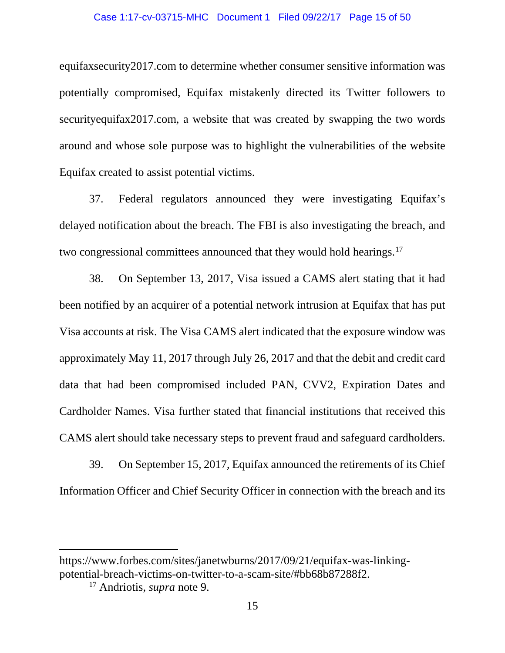#### Case 1:17-cv-03715-MHC Document 1 Filed 09/22/17 Page 15 of 50

equifaxsecurity2017.com to determine whether consumer sensitive information was potentially compromised, Equifax mistakenly directed its Twitter followers to securityequifax2017.com, a website that was created by swapping the two words around and whose sole purpose was to highlight the vulnerabilities of the website Equifax created to assist potential victims.

37. Federal regulators announced they were investigating Equifax's delayed notification about the breach. The FBI is also investigating the breach, and two congressional committees announced that they would hold hearings.<sup>[17](#page-14-0)</sup>

38. On September 13, 2017, Visa issued a CAMS alert stating that it had been notified by an acquirer of a potential network intrusion at Equifax that has put Visa accounts at risk. The Visa CAMS alert indicated that the exposure window was approximately May 11, 2017 through July 26, 2017 and that the debit and credit card data that had been compromised included PAN, CVV2, Expiration Dates and Cardholder Names. Visa further stated that financial institutions that received this CAMS alert should take necessary steps to prevent fraud and safeguard cardholders.

39. On September 15, 2017, Equifax announced the retirements of its Chief Information Officer and Chief Security Officer in connection with the breach and its

 $\overline{a}$ 

<span id="page-14-0"></span>https://www.forbes.com/sites/janetwburns/2017/09/21/equifax-was-linkingpotential-breach-victims-on-twitter-to-a-scam-site/#bb68b87288f2.

<sup>17</sup> Andriotis, *supra* note 9.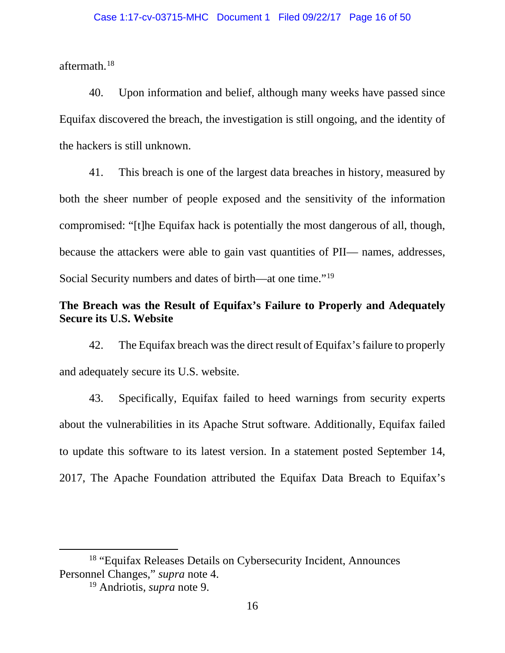aftermath.[18](#page-15-0)

40. Upon information and belief, although many weeks have passed since Equifax discovered the breach, the investigation is still ongoing, and the identity of the hackers is still unknown.

41. This breach is one of the largest data breaches in history, measured by both the sheer number of people exposed and the sensitivity of the information compromised: "[t]he Equifax hack is potentially the most dangerous of all, though, because the attackers were able to gain vast quantities of PII— names, addresses, Social Security numbers and dates of birth—at one time."[19](#page-15-1)

# **The Breach was the Result of Equifax's Failure to Properly and Adequately Secure its U.S. Website**

42. The Equifax breach was the direct result of Equifax's failure to properly and adequately secure its U.S. website.

43. Specifically, Equifax failed to heed warnings from security experts about the vulnerabilities in its Apache Strut software. Additionally, Equifax failed to update this software to its latest version. In a statement posted September 14, 2017, The Apache Foundation attributed the Equifax Data Breach to Equifax's

 $\overline{a}$ 

<span id="page-15-1"></span><span id="page-15-0"></span><sup>18</sup> "Equifax Releases Details on Cybersecurity Incident, Announces Personnel Changes," *supra* note 4.

<sup>19</sup> Andriotis, *supra* note 9.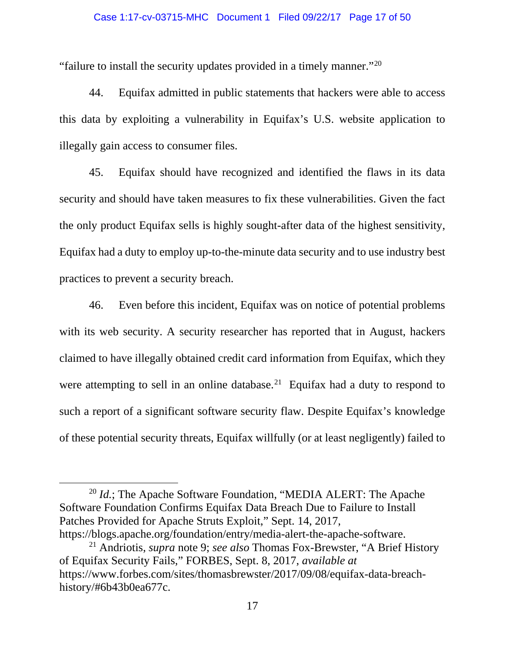#### Case 1:17-cv-03715-MHC Document 1 Filed 09/22/17 Page 17 of 50

"failure to install the security updates provided in a timely manner."[20](#page-16-0)

44. Equifax admitted in public statements that hackers were able to access this data by exploiting a vulnerability in Equifax's U.S. website application to illegally gain access to consumer files.

45. Equifax should have recognized and identified the flaws in its data security and should have taken measures to fix these vulnerabilities. Given the fact the only product Equifax sells is highly sought-after data of the highest sensitivity, Equifax had a duty to employ up-to-the-minute data security and to use industry best practices to prevent a security breach.

46. Even before this incident, Equifax was on notice of potential problems with its web security. A security researcher has reported that in August, hackers claimed to have illegally obtained credit card information from Equifax, which they were attempting to sell in an online database.<sup>21</sup> Equifax had a duty to respond to such a report of a significant software security flaw. Despite Equifax's knowledge of these potential security threats, Equifax willfully (or at least negligently) failed to

<span id="page-16-0"></span><sup>20</sup> *Id.*; The Apache Software Foundation, "MEDIA ALERT: The Apache Software Foundation Confirms Equifax Data Breach Due to Failure to Install Patches Provided for Apache Struts Exploit," Sept. 14, 2017, https://blogs.apache.org/foundation/entry/media-alert-the-apache-software.

 $\overline{\phantom{a}}$ 

<span id="page-16-1"></span><sup>21</sup> Andriotis, *supra* note 9; *see also* Thomas Fox-Brewster, "A Brief History of Equifax Security Fails," FORBES, Sept. 8, 2017, *available at*  https://www.forbes.com/sites/thomasbrewster/2017/09/08/equifax-data-breachhistory/#6b43b0ea677c.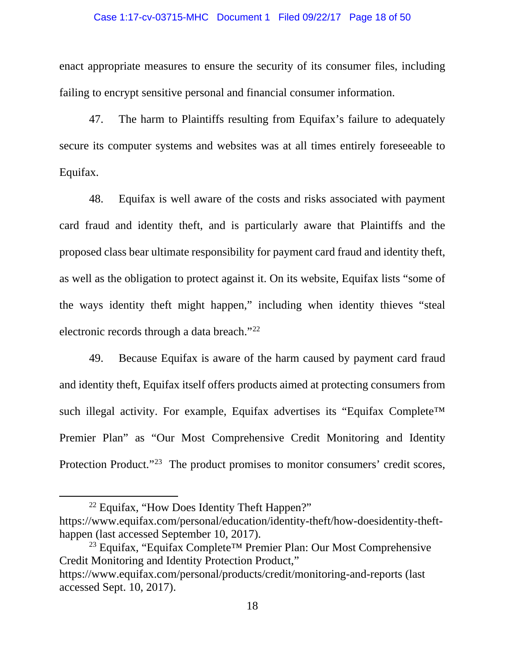#### Case 1:17-cv-03715-MHC Document 1 Filed 09/22/17 Page 18 of 50

enact appropriate measures to ensure the security of its consumer files, including failing to encrypt sensitive personal and financial consumer information.

47. The harm to Plaintiffs resulting from Equifax's failure to adequately secure its computer systems and websites was at all times entirely foreseeable to Equifax.

48. Equifax is well aware of the costs and risks associated with payment card fraud and identity theft, and is particularly aware that Plaintiffs and the proposed class bear ultimate responsibility for payment card fraud and identity theft, as well as the obligation to protect against it. On its website, Equifax lists "some of the ways identity theft might happen," including when identity thieves "steal electronic records through a data breach."[22](#page-17-0)

49. Because Equifax is aware of the harm caused by payment card fraud and identity theft, Equifax itself offers products aimed at protecting consumers from such illegal activity. For example, Equifax advertises its "Equifax Complete<sup>™</sup> Premier Plan" as "Our Most Comprehensive Credit Monitoring and Identity Protection Product."<sup>23</sup> The product promises to monitor consumers' credit scores,

l

<sup>&</sup>lt;sup>22</sup> Equifax, "How Does Identity Theft Happen?"

<span id="page-17-0"></span>https://www.equifax.com/personal/education/identity-theft/how-doesidentity-thefthappen (last accessed September 10, 2017).

<span id="page-17-1"></span><sup>23</sup> Equifax, "Equifax Complete™ Premier Plan: Our Most Comprehensive Credit Monitoring and Identity Protection Product,"

https://www.equifax.com/personal/products/credit/monitoring-and-reports (last accessed Sept. 10, 2017).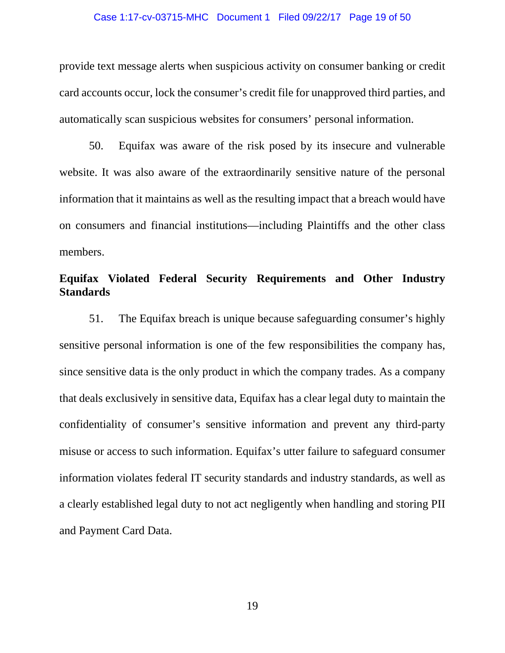#### Case 1:17-cv-03715-MHC Document 1 Filed 09/22/17 Page 19 of 50

provide text message alerts when suspicious activity on consumer banking or credit card accounts occur, lock the consumer's credit file for unapproved third parties, and automatically scan suspicious websites for consumers' personal information.

50. Equifax was aware of the risk posed by its insecure and vulnerable website. It was also aware of the extraordinarily sensitive nature of the personal information that it maintains as well as the resulting impact that a breach would have on consumers and financial institutions—including Plaintiffs and the other class members.

# **Equifax Violated Federal Security Requirements and Other Industry Standards**

51. The Equifax breach is unique because safeguarding consumer's highly sensitive personal information is one of the few responsibilities the company has, since sensitive data is the only product in which the company trades. As a company that deals exclusively in sensitive data, Equifax has a clear legal duty to maintain the confidentiality of consumer's sensitive information and prevent any third-party misuse or access to such information. Equifax's utter failure to safeguard consumer information violates federal IT security standards and industry standards, as well as a clearly established legal duty to not act negligently when handling and storing PII and Payment Card Data.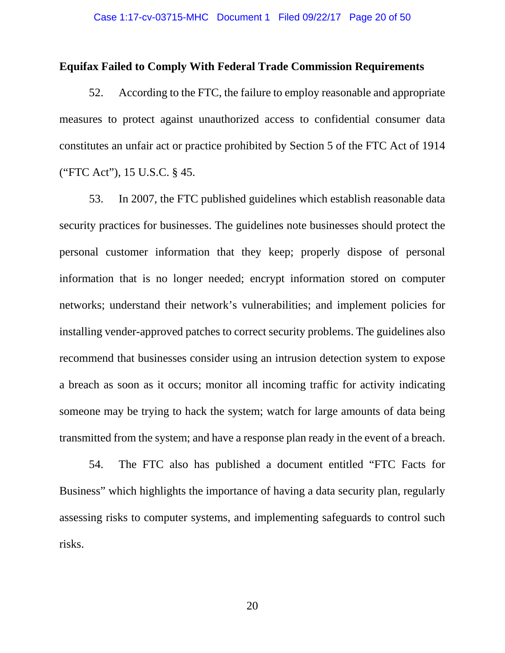### **Equifax Failed to Comply With Federal Trade Commission Requirements**

52. According to the FTC, the failure to employ reasonable and appropriate measures to protect against unauthorized access to confidential consumer data constitutes an unfair act or practice prohibited by Section 5 of the FTC Act of 1914 ("FTC Act"), 15 U.S.C. § 45.

53. In 2007, the FTC published guidelines which establish reasonable data security practices for businesses. The guidelines note businesses should protect the personal customer information that they keep; properly dispose of personal information that is no longer needed; encrypt information stored on computer networks; understand their network's vulnerabilities; and implement policies for installing vender-approved patches to correct security problems. The guidelines also recommend that businesses consider using an intrusion detection system to expose a breach as soon as it occurs; monitor all incoming traffic for activity indicating someone may be trying to hack the system; watch for large amounts of data being transmitted from the system; and have a response plan ready in the event of a breach.

54. The FTC also has published a document entitled "FTC Facts for Business" which highlights the importance of having a data security plan, regularly assessing risks to computer systems, and implementing safeguards to control such risks.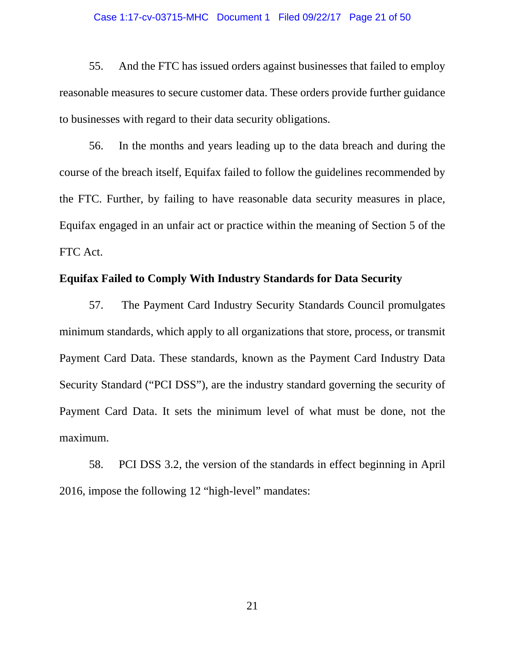#### Case 1:17-cv-03715-MHC Document 1 Filed 09/22/17 Page 21 of 50

55. And the FTC has issued orders against businesses that failed to employ reasonable measures to secure customer data. These orders provide further guidance to businesses with regard to their data security obligations.

56. In the months and years leading up to the data breach and during the course of the breach itself, Equifax failed to follow the guidelines recommended by the FTC. Further, by failing to have reasonable data security measures in place, Equifax engaged in an unfair act or practice within the meaning of Section 5 of the FTC Act.

## **Equifax Failed to Comply With Industry Standards for Data Security**

57. The Payment Card Industry Security Standards Council promulgates minimum standards, which apply to all organizations that store, process, or transmit Payment Card Data. These standards, known as the Payment Card Industry Data Security Standard ("PCI DSS"), are the industry standard governing the security of Payment Card Data. It sets the minimum level of what must be done, not the maximum.

58. PCI DSS 3.2, the version of the standards in effect beginning in April 2016, impose the following 12 "high-level" mandates: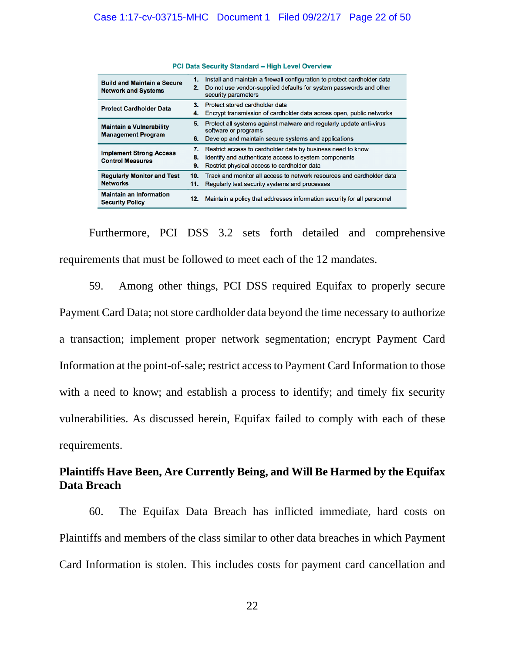| <b>PCI Data Security Standard - High Level Overview</b>          |                |                                                                                                                                                                       |
|------------------------------------------------------------------|----------------|-----------------------------------------------------------------------------------------------------------------------------------------------------------------------|
| <b>Build and Maintain a Secure</b><br><b>Network and Systems</b> | 1.<br>2.       | Install and maintain a firewall configuration to protect cardholder data<br>Do not use vendor-supplied defaults for system passwords and other<br>security parameters |
| <b>Protect Cardholder Data</b>                                   | 3.<br>4.       | Protect stored cardholder data<br>Encrypt transmission of cardholder data across open, public networks                                                                |
| <b>Maintain a Vulnerability</b><br><b>Management Program</b>     | 5.<br>6.       | Protect all systems against malware and regularly update anti-virus<br>software or programs<br>Develop and maintain secure systems and applications                   |
| <b>Implement Strong Access</b><br><b>Control Measures</b>        | 7.<br>8.<br>9. | Restrict access to cardholder data by business need to know<br>Identify and authenticate access to system components<br>Restrict physical access to cardholder data   |
| <b>Regularly Monitor and Test</b><br><b>Networks</b>             | 10.<br>11.     | Track and monitor all access to network resources and cardholder data<br>Regularly test security systems and processes                                                |
| <b>Maintain an Information</b><br><b>Security Policy</b>         | 12.            | Maintain a policy that addresses information security for all personnel                                                                                               |

Furthermore, PCI DSS 3.2 sets forth detailed and comprehensive requirements that must be followed to meet each of the 12 mandates.

59. Among other things, PCI DSS required Equifax to properly secure Payment Card Data; not store cardholder data beyond the time necessary to authorize a transaction; implement proper network segmentation; encrypt Payment Card Information at the point-of-sale; restrict access to Payment Card Information to those with a need to know; and establish a process to identify; and timely fix security vulnerabilities. As discussed herein, Equifax failed to comply with each of these requirements.

# **Plaintiffs Have Been, Are Currently Being, and Will Be Harmed by the Equifax Data Breach**

60. The Equifax Data Breach has inflicted immediate, hard costs on Plaintiffs and members of the class similar to other data breaches in which Payment Card Information is stolen. This includes costs for payment card cancellation and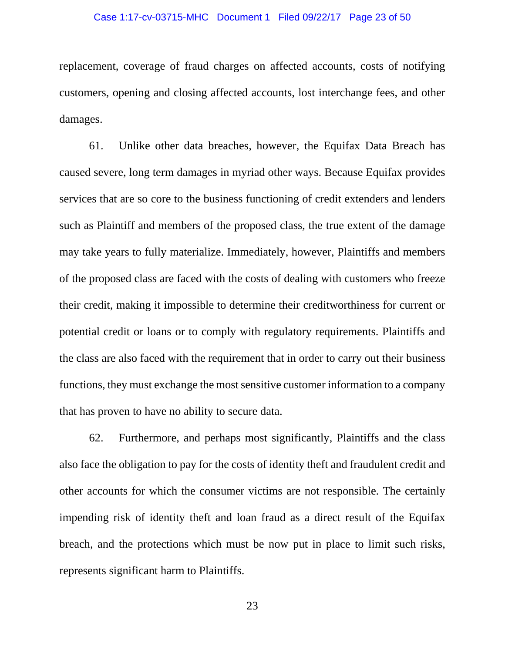#### Case 1:17-cv-03715-MHC Document 1 Filed 09/22/17 Page 23 of 50

replacement, coverage of fraud charges on affected accounts, costs of notifying customers, opening and closing affected accounts, lost interchange fees, and other damages.

61. Unlike other data breaches, however, the Equifax Data Breach has caused severe, long term damages in myriad other ways. Because Equifax provides services that are so core to the business functioning of credit extenders and lenders such as Plaintiff and members of the proposed class, the true extent of the damage may take years to fully materialize. Immediately, however, Plaintiffs and members of the proposed class are faced with the costs of dealing with customers who freeze their credit, making it impossible to determine their creditworthiness for current or potential credit or loans or to comply with regulatory requirements. Plaintiffs and the class are also faced with the requirement that in order to carry out their business functions, they must exchange the most sensitive customer information to a company that has proven to have no ability to secure data.

62. Furthermore, and perhaps most significantly, Plaintiffs and the class also face the obligation to pay for the costs of identity theft and fraudulent credit and other accounts for which the consumer victims are not responsible. The certainly impending risk of identity theft and loan fraud as a direct result of the Equifax breach, and the protections which must be now put in place to limit such risks, represents significant harm to Plaintiffs.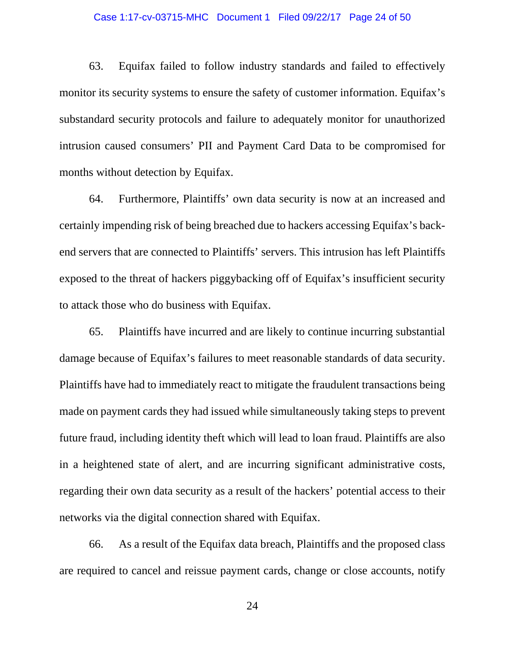#### Case 1:17-cv-03715-MHC Document 1 Filed 09/22/17 Page 24 of 50

63. Equifax failed to follow industry standards and failed to effectively monitor its security systems to ensure the safety of customer information. Equifax's substandard security protocols and failure to adequately monitor for unauthorized intrusion caused consumers' PII and Payment Card Data to be compromised for months without detection by Equifax.

64. Furthermore, Plaintiffs' own data security is now at an increased and certainly impending risk of being breached due to hackers accessing Equifax's backend servers that are connected to Plaintiffs' servers. This intrusion has left Plaintiffs exposed to the threat of hackers piggybacking off of Equifax's insufficient security to attack those who do business with Equifax.

65. Plaintiffs have incurred and are likely to continue incurring substantial damage because of Equifax's failures to meet reasonable standards of data security. Plaintiffs have had to immediately react to mitigate the fraudulent transactions being made on payment cards they had issued while simultaneously taking steps to prevent future fraud, including identity theft which will lead to loan fraud. Plaintiffs are also in a heightened state of alert, and are incurring significant administrative costs, regarding their own data security as a result of the hackers' potential access to their networks via the digital connection shared with Equifax.

66. As a result of the Equifax data breach, Plaintiffs and the proposed class are required to cancel and reissue payment cards, change or close accounts, notify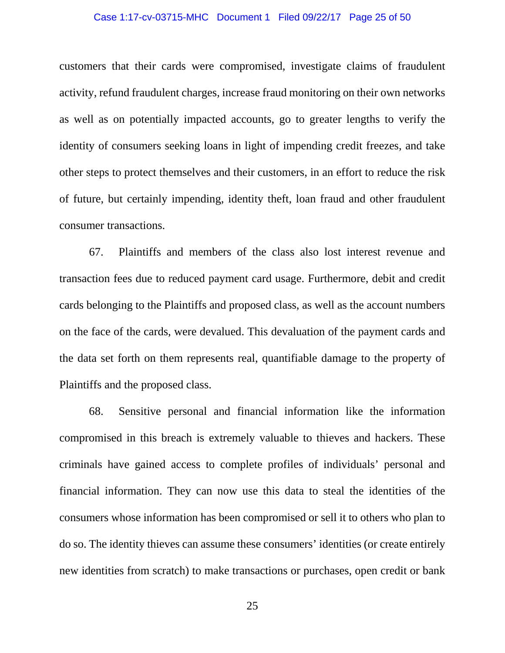#### Case 1:17-cv-03715-MHC Document 1 Filed 09/22/17 Page 25 of 50

customers that their cards were compromised, investigate claims of fraudulent activity, refund fraudulent charges, increase fraud monitoring on their own networks as well as on potentially impacted accounts, go to greater lengths to verify the identity of consumers seeking loans in light of impending credit freezes, and take other steps to protect themselves and their customers, in an effort to reduce the risk of future, but certainly impending, identity theft, loan fraud and other fraudulent consumer transactions.

67. Plaintiffs and members of the class also lost interest revenue and transaction fees due to reduced payment card usage. Furthermore, debit and credit cards belonging to the Plaintiffs and proposed class, as well as the account numbers on the face of the cards, were devalued. This devaluation of the payment cards and the data set forth on them represents real, quantifiable damage to the property of Plaintiffs and the proposed class.

68. Sensitive personal and financial information like the information compromised in this breach is extremely valuable to thieves and hackers. These criminals have gained access to complete profiles of individuals' personal and financial information. They can now use this data to steal the identities of the consumers whose information has been compromised or sell it to others who plan to do so. The identity thieves can assume these consumers' identities (or create entirely new identities from scratch) to make transactions or purchases, open credit or bank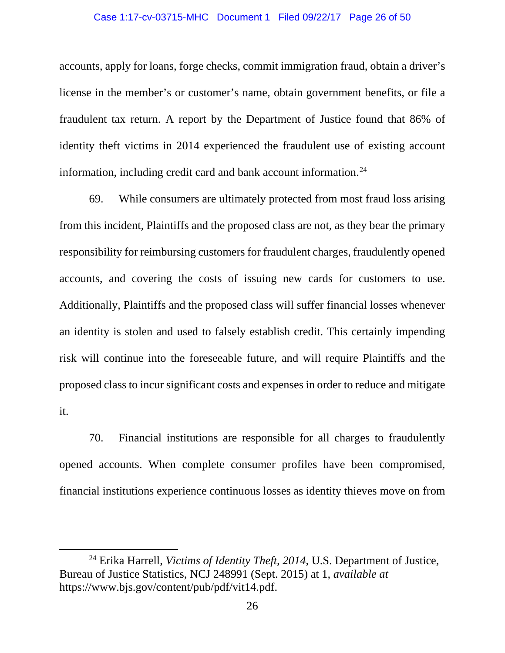#### Case 1:17-cv-03715-MHC Document 1 Filed 09/22/17 Page 26 of 50

accounts, apply for loans, forge checks, commit immigration fraud, obtain a driver's license in the member's or customer's name, obtain government benefits, or file a fraudulent tax return. A report by the Department of Justice found that 86% of identity theft victims in 2014 experienced the fraudulent use of existing account information, including credit card and bank account information. $24$ 

69. While consumers are ultimately protected from most fraud loss arising from this incident, Plaintiffs and the proposed class are not, as they bear the primary responsibility for reimbursing customers for fraudulent charges, fraudulently opened accounts, and covering the costs of issuing new cards for customers to use. Additionally, Plaintiffs and the proposed class will suffer financial losses whenever an identity is stolen and used to falsely establish credit. This certainly impending risk will continue into the foreseeable future, and will require Plaintiffs and the proposed class to incur significant costs and expenses in order to reduce and mitigate it.

70. Financial institutions are responsible for all charges to fraudulently opened accounts. When complete consumer profiles have been compromised, financial institutions experience continuous losses as identity thieves move on from

 $\overline{a}$ 

<span id="page-25-0"></span><sup>24</sup> Erika Harrell, *Victims of Identity Theft, 2014*, U.S. Department of Justice, Bureau of Justice Statistics, NCJ 248991 (Sept. 2015) at 1, *available at*  https://www.bjs.gov/content/pub/pdf/vit14.pdf.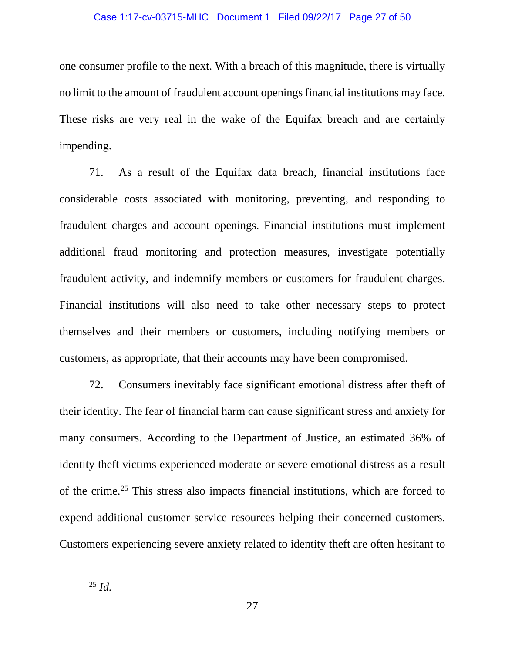#### Case 1:17-cv-03715-MHC Document 1 Filed 09/22/17 Page 27 of 50

one consumer profile to the next. With a breach of this magnitude, there is virtually no limit to the amount of fraudulent account openings financial institutions may face. These risks are very real in the wake of the Equifax breach and are certainly impending.

71. As a result of the Equifax data breach, financial institutions face considerable costs associated with monitoring, preventing, and responding to fraudulent charges and account openings. Financial institutions must implement additional fraud monitoring and protection measures, investigate potentially fraudulent activity, and indemnify members or customers for fraudulent charges. Financial institutions will also need to take other necessary steps to protect themselves and their members or customers, including notifying members or customers, as appropriate, that their accounts may have been compromised.

72. Consumers inevitably face significant emotional distress after theft of their identity. The fear of financial harm can cause significant stress and anxiety for many consumers. According to the Department of Justice, an estimated 36% of identity theft victims experienced moderate or severe emotional distress as a result of the crime.[25](#page-26-0) This stress also impacts financial institutions, which are forced to expend additional customer service resources helping their concerned customers. Customers experiencing severe anxiety related to identity theft are often hesitant to

<span id="page-26-0"></span> $\overline{a}$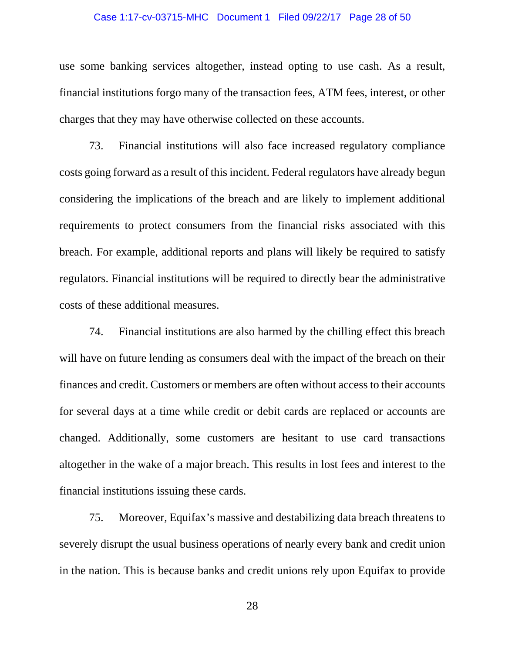#### Case 1:17-cv-03715-MHC Document 1 Filed 09/22/17 Page 28 of 50

use some banking services altogether, instead opting to use cash. As a result, financial institutions forgo many of the transaction fees, ATM fees, interest, or other charges that they may have otherwise collected on these accounts.

73. Financial institutions will also face increased regulatory compliance costs going forward as a result of this incident. Federal regulators have already begun considering the implications of the breach and are likely to implement additional requirements to protect consumers from the financial risks associated with this breach. For example, additional reports and plans will likely be required to satisfy regulators. Financial institutions will be required to directly bear the administrative costs of these additional measures.

74. Financial institutions are also harmed by the chilling effect this breach will have on future lending as consumers deal with the impact of the breach on their finances and credit. Customers or members are often without access to their accounts for several days at a time while credit or debit cards are replaced or accounts are changed. Additionally, some customers are hesitant to use card transactions altogether in the wake of a major breach. This results in lost fees and interest to the financial institutions issuing these cards.

75. Moreover, Equifax's massive and destabilizing data breach threatens to severely disrupt the usual business operations of nearly every bank and credit union in the nation. This is because banks and credit unions rely upon Equifax to provide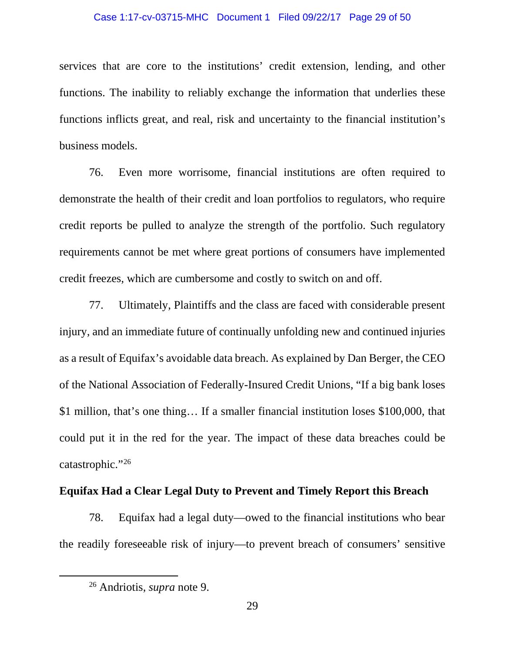#### Case 1:17-cv-03715-MHC Document 1 Filed 09/22/17 Page 29 of 50

services that are core to the institutions' credit extension, lending, and other functions. The inability to reliably exchange the information that underlies these functions inflicts great, and real, risk and uncertainty to the financial institution's business models.

76. Even more worrisome, financial institutions are often required to demonstrate the health of their credit and loan portfolios to regulators, who require credit reports be pulled to analyze the strength of the portfolio. Such regulatory requirements cannot be met where great portions of consumers have implemented credit freezes, which are cumbersome and costly to switch on and off.

77. Ultimately, Plaintiffs and the class are faced with considerable present injury, and an immediate future of continually unfolding new and continued injuries as a result of Equifax's avoidable data breach. As explained by Dan Berger, the CEO of the National Association of Federally-Insured Credit Unions, "If a big bank loses \$1 million, that's one thing… If a smaller financial institution loses \$100,000, that could put it in the red for the year. The impact of these data breaches could be catastrophic."[26](#page-28-0)

### **Equifax Had a Clear Legal Duty to Prevent and Timely Report this Breach**

78. Equifax had a legal duty—owed to the financial institutions who bear the readily foreseeable risk of injury—to prevent breach of consumers' sensitive

<span id="page-28-0"></span> $\overline{a}$ 

<sup>26</sup> Andriotis, *supra* note 9.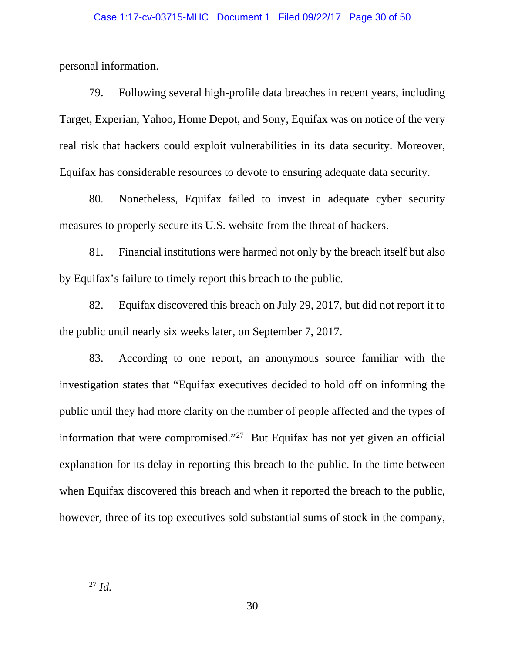personal information.

79. Following several high-profile data breaches in recent years, including Target, Experian, Yahoo, Home Depot, and Sony, Equifax was on notice of the very real risk that hackers could exploit vulnerabilities in its data security. Moreover, Equifax has considerable resources to devote to ensuring adequate data security.

80. Nonetheless, Equifax failed to invest in adequate cyber security measures to properly secure its U.S. website from the threat of hackers.

81. Financial institutions were harmed not only by the breach itself but also by Equifax's failure to timely report this breach to the public.

82. Equifax discovered this breach on July 29, 2017, but did not report it to the public until nearly six weeks later, on September 7, 2017.

83. According to one report, an anonymous source familiar with the investigation states that "Equifax executives decided to hold off on informing the public until they had more clarity on the number of people affected and the types of information that were compromised."<sup>[27](#page-29-0)</sup> But Equifax has not yet given an official explanation for its delay in reporting this breach to the public. In the time between when Equifax discovered this breach and when it reported the breach to the public, however, three of its top executives sold substantial sums of stock in the company,

<span id="page-29-0"></span> $\overline{a}$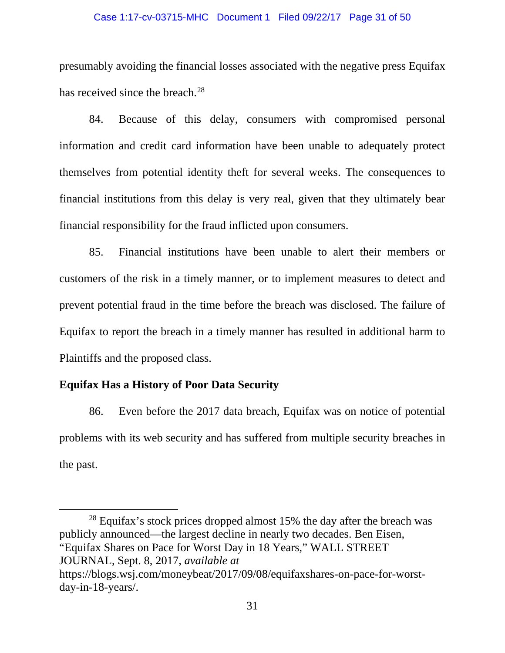#### Case 1:17-cv-03715-MHC Document 1 Filed 09/22/17 Page 31 of 50

presumably avoiding the financial losses associated with the negative press Equifax has received since the breach.<sup>[28](#page-30-0)</sup>

84. Because of this delay, consumers with compromised personal information and credit card information have been unable to adequately protect themselves from potential identity theft for several weeks. The consequences to financial institutions from this delay is very real, given that they ultimately bear financial responsibility for the fraud inflicted upon consumers.

85. Financial institutions have been unable to alert their members or customers of the risk in a timely manner, or to implement measures to detect and prevent potential fraud in the time before the breach was disclosed. The failure of Equifax to report the breach in a timely manner has resulted in additional harm to Plaintiffs and the proposed class.

### **Equifax Has a History of Poor Data Security**

l

86. Even before the 2017 data breach, Equifax was on notice of potential problems with its web security and has suffered from multiple security breaches in the past.

<span id="page-30-0"></span><sup>28</sup> Equifax's stock prices dropped almost 15% the day after the breach was publicly announced—the largest decline in nearly two decades. Ben Eisen, "Equifax Shares on Pace for Worst Day in 18 Years," WALL STREET JOURNAL, Sept. 8, 2017, *available at*  https://blogs.wsj.com/moneybeat/2017/09/08/equifaxshares-on-pace-for-worstday-in-18-years/.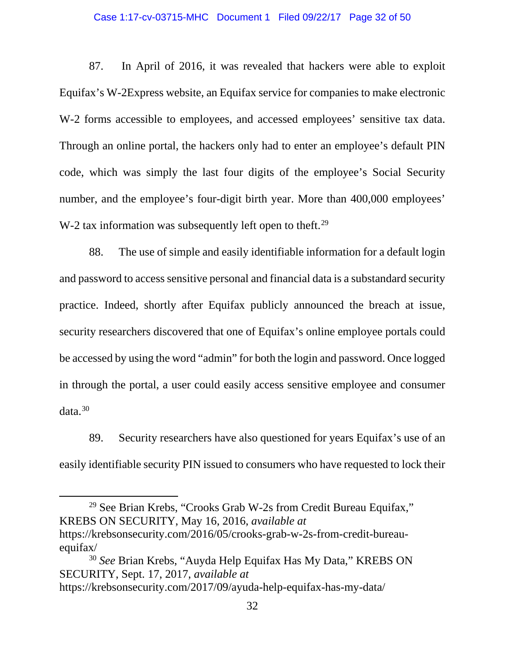#### Case 1:17-cv-03715-MHC Document 1 Filed 09/22/17 Page 32 of 50

87. In April of 2016, it was revealed that hackers were able to exploit Equifax's W-2Express website, an Equifax service for companies to make electronic W-2 forms accessible to employees, and accessed employees' sensitive tax data. Through an online portal, the hackers only had to enter an employee's default PIN code, which was simply the last four digits of the employee's Social Security number, and the employee's four-digit birth year. More than 400,000 employees' W-2 tax information was subsequently left open to theft.<sup>[29](#page-31-0)</sup>

88. The use of simple and easily identifiable information for a default login and password to access sensitive personal and financial data is a substandard security practice. Indeed, shortly after Equifax publicly announced the breach at issue, security researchers discovered that one of Equifax's online employee portals could be accessed by using the word "admin" for both the login and password. Once logged in through the portal, a user could easily access sensitive employee and consumer  $data.<sup>30</sup>$  $data.<sup>30</sup>$  $data.<sup>30</sup>$ 

89. Security researchers have also questioned for years Equifax's use of an easily identifiable security PIN issued to consumers who have requested to lock their

<span id="page-31-0"></span><sup>29</sup> See Brian Krebs, "Crooks Grab W-2s from Credit Bureau Equifax," KREBS ON SECURITY, May 16, 2016, *available at*  https://krebsonsecurity.com/2016/05/crooks-grab-w-2s-from-credit-bureauequifax/

l

<span id="page-31-1"></span><sup>30</sup> *See* Brian Krebs, "Auyda Help Equifax Has My Data," KREBS ON SECURITY, Sept. 17, 2017, *available at* https://krebsonsecurity.com/2017/09/ayuda-help-equifax-has-my-data/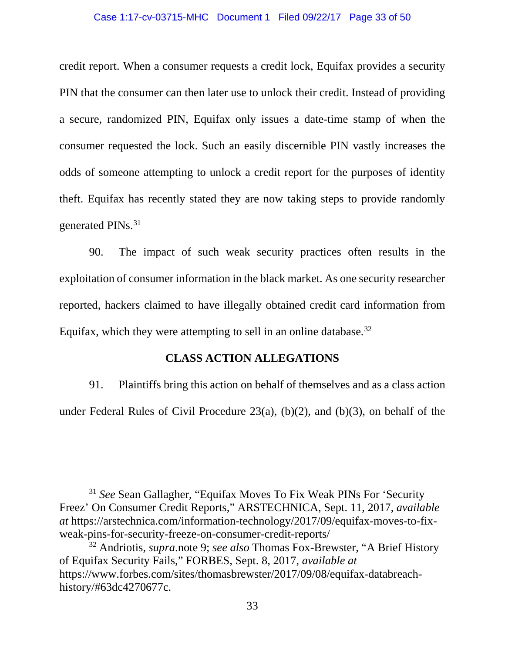#### Case 1:17-cv-03715-MHC Document 1 Filed 09/22/17 Page 33 of 50

credit report. When a consumer requests a credit lock, Equifax provides a security PIN that the consumer can then later use to unlock their credit. Instead of providing a secure, randomized PIN, Equifax only issues a date-time stamp of when the consumer requested the lock. Such an easily discernible PIN vastly increases the odds of someone attempting to unlock a credit report for the purposes of identity theft. Equifax has recently stated they are now taking steps to provide randomly generated PIN<sub>s.</sub><sup>31</sup>

90. The impact of such weak security practices often results in the exploitation of consumer information in the black market. As one security researcher reported, hackers claimed to have illegally obtained credit card information from Equifax, which they were attempting to sell in an online database.  $32$ 

## **CLASS ACTION ALLEGATIONS**

91. Plaintiffs bring this action on behalf of themselves and as a class action under Federal Rules of Civil Procedure 23(a), (b)(2), and (b)(3), on behalf of the

<span id="page-32-0"></span><sup>31</sup> *See* Sean Gallagher, "Equifax Moves To Fix Weak PINs For 'Security Freez' On Consumer Credit Reports," ARSTECHNICA, Sept. 11, 2017, *available at* https://arstechnica.com/information-technology/2017/09/equifax-moves-to-fixweak-pins-for-security-freeze-on-consumer-credit-reports/ 32 Andriotis, *supra*.note 9; *see also* Thomas Fox-Brewster, "A Brief History

<span id="page-32-1"></span>of Equifax Security Fails," FORBES, Sept. 8, 2017, *available at* https://www.forbes.com/sites/thomasbrewster/2017/09/08/equifax-databreachhistory/#63dc4270677c.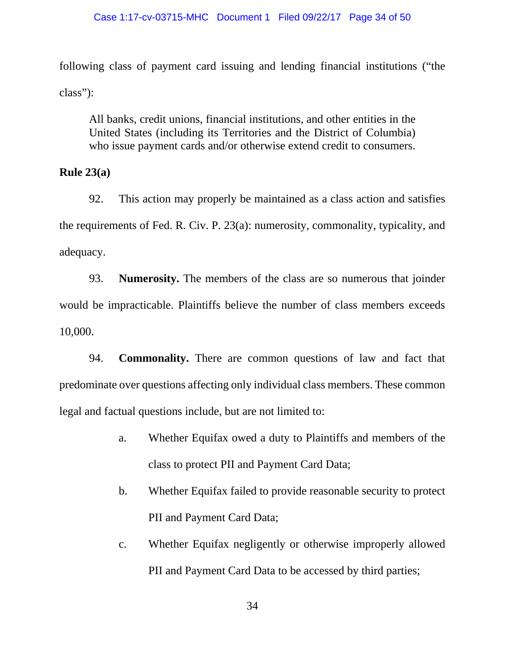following class of payment card issuing and lending financial institutions ("the class"):

All banks, credit unions, financial institutions, and other entities in the United States (including its Territories and the District of Columbia) who issue payment cards and/or otherwise extend credit to consumers.

**Rule 23(a)** 

92. This action may properly be maintained as a class action and satisfies the requirements of Fed. R. Civ. P. 23(a): numerosity, commonality, typicality, and adequacy.

93. **Numerosity.** The members of the class are so numerous that joinder would be impracticable. Plaintiffs believe the number of class members exceeds 10,000.

94. **Commonality.** There are common questions of law and fact that predominate over questions affecting only individual class members. These common legal and factual questions include, but are not limited to:

- a. Whether Equifax owed a duty to Plaintiffs and members of the class to protect PII and Payment Card Data;
- b. Whether Equifax failed to provide reasonable security to protect PII and Payment Card Data;
- c. Whether Equifax negligently or otherwise improperly allowed PII and Payment Card Data to be accessed by third parties;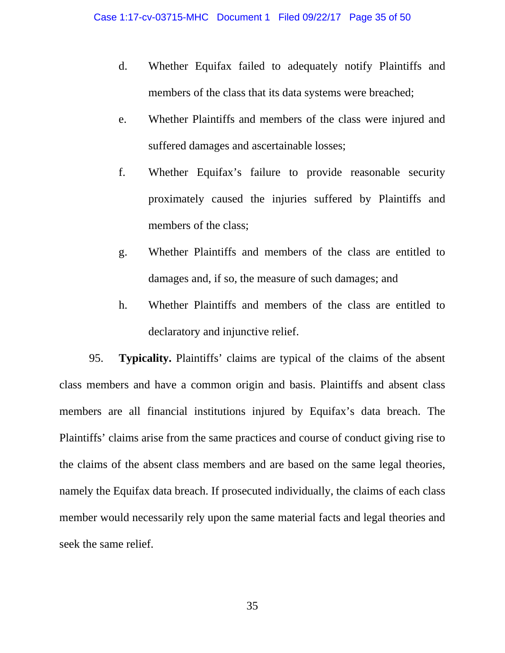- d. Whether Equifax failed to adequately notify Plaintiffs and members of the class that its data systems were breached;
- e. Whether Plaintiffs and members of the class were injured and suffered damages and ascertainable losses;
- f. Whether Equifax's failure to provide reasonable security proximately caused the injuries suffered by Plaintiffs and members of the class;
- g. Whether Plaintiffs and members of the class are entitled to damages and, if so, the measure of such damages; and
- h. Whether Plaintiffs and members of the class are entitled to declaratory and injunctive relief.

95. **Typicality.** Plaintiffs' claims are typical of the claims of the absent class members and have a common origin and basis. Plaintiffs and absent class members are all financial institutions injured by Equifax's data breach. The Plaintiffs' claims arise from the same practices and course of conduct giving rise to the claims of the absent class members and are based on the same legal theories, namely the Equifax data breach. If prosecuted individually, the claims of each class member would necessarily rely upon the same material facts and legal theories and seek the same relief.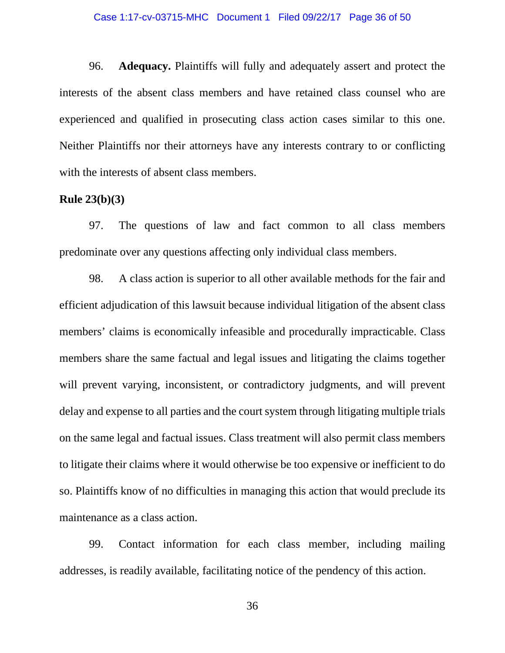#### Case 1:17-cv-03715-MHC Document 1 Filed 09/22/17 Page 36 of 50

96. **Adequacy.** Plaintiffs will fully and adequately assert and protect the interests of the absent class members and have retained class counsel who are experienced and qualified in prosecuting class action cases similar to this one. Neither Plaintiffs nor their attorneys have any interests contrary to or conflicting with the interests of absent class members.

### **Rule 23(b)(3)**

97. The questions of law and fact common to all class members predominate over any questions affecting only individual class members.

98. A class action is superior to all other available methods for the fair and efficient adjudication of this lawsuit because individual litigation of the absent class members' claims is economically infeasible and procedurally impracticable. Class members share the same factual and legal issues and litigating the claims together will prevent varying, inconsistent, or contradictory judgments, and will prevent delay and expense to all parties and the court system through litigating multiple trials on the same legal and factual issues. Class treatment will also permit class members to litigate their claims where it would otherwise be too expensive or inefficient to do so. Plaintiffs know of no difficulties in managing this action that would preclude its maintenance as a class action.

99. Contact information for each class member, including mailing addresses, is readily available, facilitating notice of the pendency of this action.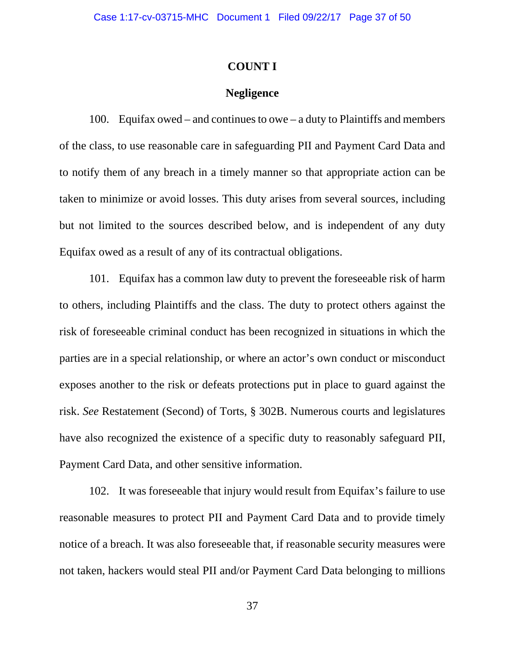### **COUNT I**

### **Negligence**

100. Equifax owed – and continues to owe – a duty to Plaintiffs and members of the class, to use reasonable care in safeguarding PII and Payment Card Data and to notify them of any breach in a timely manner so that appropriate action can be taken to minimize or avoid losses. This duty arises from several sources, including but not limited to the sources described below, and is independent of any duty Equifax owed as a result of any of its contractual obligations.

101. Equifax has a common law duty to prevent the foreseeable risk of harm to others, including Plaintiffs and the class. The duty to protect others against the risk of foreseeable criminal conduct has been recognized in situations in which the parties are in a special relationship, or where an actor's own conduct or misconduct exposes another to the risk or defeats protections put in place to guard against the risk. *See* Restatement (Second) of Torts, § 302B. Numerous courts and legislatures have also recognized the existence of a specific duty to reasonably safeguard PII, Payment Card Data, and other sensitive information.

102. It was foreseeable that injury would result from Equifax's failure to use reasonable measures to protect PII and Payment Card Data and to provide timely notice of a breach. It was also foreseeable that, if reasonable security measures were not taken, hackers would steal PII and/or Payment Card Data belonging to millions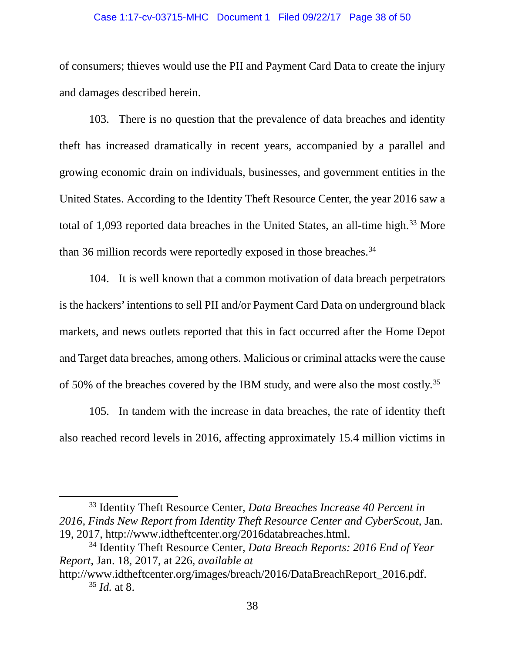#### Case 1:17-cv-03715-MHC Document 1 Filed 09/22/17 Page 38 of 50

of consumers; thieves would use the PII and Payment Card Data to create the injury and damages described herein.

103. There is no question that the prevalence of data breaches and identity theft has increased dramatically in recent years, accompanied by a parallel and growing economic drain on individuals, businesses, and government entities in the United States. According to the Identity Theft Resource Center, the year 2016 saw a total of 1,093 reported data breaches in the United States, an all-time high.<sup>[33](#page-37-0)</sup> More than 36 million records were reportedly exposed in those breaches.<sup>[34](#page-37-1)</sup>

104. It is well known that a common motivation of data breach perpetrators is the hackers' intentions to sell PII and/or Payment Card Data on underground black markets, and news outlets reported that this in fact occurred after the Home Depot and Target data breaches, among others. Malicious or criminal attacks were the cause of 50% of the breaches covered by the IBM study, and were also the most costly.<sup>[35](#page-37-2)</sup>

105. In tandem with the increase in data breaches, the rate of identity theft also reached record levels in 2016, affecting approximately 15.4 million victims in

l

<span id="page-37-0"></span><sup>33</sup> Identity Theft Resource Center, *Data Breaches Increase 40 Percent in 2016, Finds New Report from Identity Theft Resource Center and CyberScout*, Jan. 19, 2017, http://www.idtheftcenter.org/2016databreaches.html.

<span id="page-37-1"></span><sup>34</sup> Identity Theft Resource Center, *Data Breach Reports: 2016 End of Year Report*, Jan. 18, 2017, at 226, *available at* 

<span id="page-37-2"></span>http://www.idtheftcenter.org/images/breach/2016/DataBreachReport\_2016.pdf. <sup>35</sup> *Id.* at 8.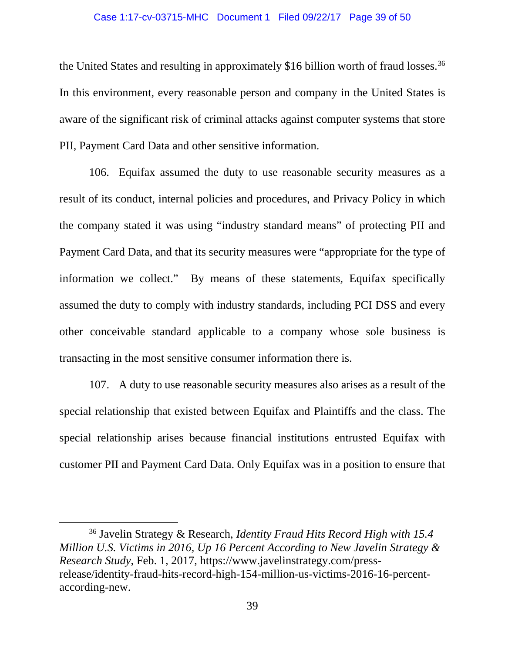#### Case 1:17-cv-03715-MHC Document 1 Filed 09/22/17 Page 39 of 50

the United States and resulting in approximately \$16 billion worth of fraud losses.<sup>[36](#page-38-0)</sup> In this environment, every reasonable person and company in the United States is aware of the significant risk of criminal attacks against computer systems that store PII, Payment Card Data and other sensitive information.

106. Equifax assumed the duty to use reasonable security measures as a result of its conduct, internal policies and procedures, and Privacy Policy in which the company stated it was using "industry standard means" of protecting PII and Payment Card Data, and that its security measures were "appropriate for the type of information we collect." By means of these statements, Equifax specifically assumed the duty to comply with industry standards, including PCI DSS and every other conceivable standard applicable to a company whose sole business is transacting in the most sensitive consumer information there is.

107. A duty to use reasonable security measures also arises as a result of the special relationship that existed between Equifax and Plaintiffs and the class. The special relationship arises because financial institutions entrusted Equifax with customer PII and Payment Card Data. Only Equifax was in a position to ensure that

l

<span id="page-38-0"></span><sup>36</sup> Javelin Strategy & Research, *Identity Fraud Hits Record High with 15.4 Million U.S. Victims in 2016, Up 16 Percent According to New Javelin Strategy & Research Study*, Feb. 1, 2017, https://www.javelinstrategy.com/pressrelease/identity-fraud-hits-record-high-154-million-us-victims-2016-16-percentaccording-new.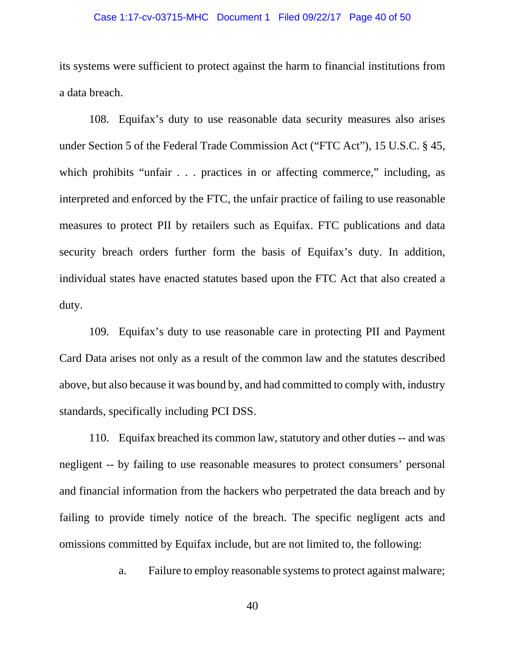#### Case 1:17-cv-03715-MHC Document 1 Filed 09/22/17 Page 40 of 50

its systems were sufficient to protect against the harm to financial institutions from a data breach.

108. Equifax's duty to use reasonable data security measures also arises under Section 5 of the Federal Trade Commission Act ("FTC Act"), 15 U.S.C. § 45, which prohibits "unfair . . . practices in or affecting commerce," including, as interpreted and enforced by the FTC, the unfair practice of failing to use reasonable measures to protect PII by retailers such as Equifax. FTC publications and data security breach orders further form the basis of Equifax's duty. In addition, individual states have enacted statutes based upon the FTC Act that also created a duty.

109. Equifax's duty to use reasonable care in protecting PII and Payment Card Data arises not only as a result of the common law and the statutes described above, but also because it was bound by, and had committed to comply with, industry standards, specifically including PCI DSS.

110. Equifax breached its common law, statutory and other duties -- and was negligent -- by failing to use reasonable measures to protect consumers' personal and financial information from the hackers who perpetrated the data breach and by failing to provide timely notice of the breach. The specific negligent acts and omissions committed by Equifax include, but are not limited to, the following:

a. Failure to employ reasonable systems to protect against malware;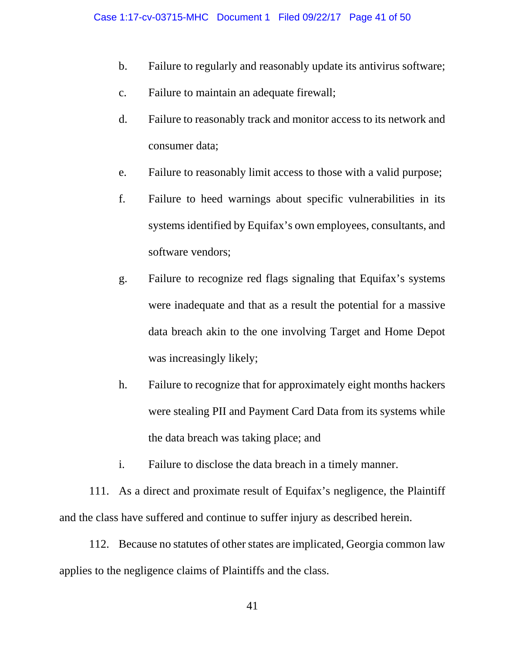- b. Failure to regularly and reasonably update its antivirus software;
- c. Failure to maintain an adequate firewall;
- d. Failure to reasonably track and monitor access to its network and consumer data;
- e. Failure to reasonably limit access to those with a valid purpose;
- f. Failure to heed warnings about specific vulnerabilities in its systems identified by Equifax's own employees, consultants, and software vendors;
- g. Failure to recognize red flags signaling that Equifax's systems were inadequate and that as a result the potential for a massive data breach akin to the one involving Target and Home Depot was increasingly likely;
- h. Failure to recognize that for approximately eight months hackers were stealing PII and Payment Card Data from its systems while the data breach was taking place; and
- i. Failure to disclose the data breach in a timely manner.

111. As a direct and proximate result of Equifax's negligence, the Plaintiff and the class have suffered and continue to suffer injury as described herein.

112. Because no statutes of other states are implicated, Georgia common law applies to the negligence claims of Plaintiffs and the class.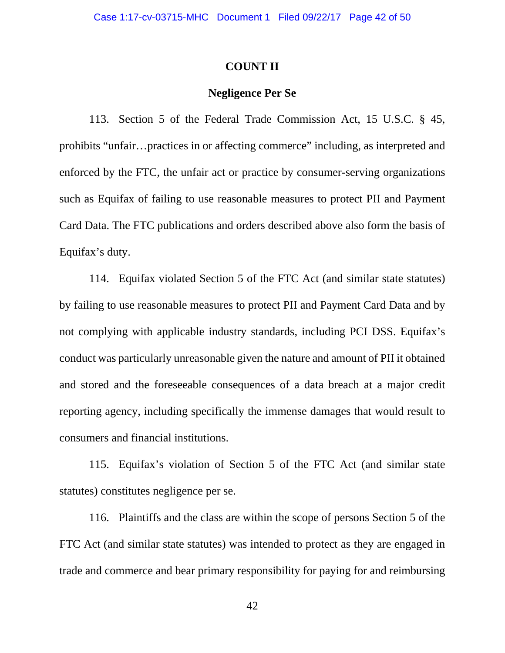### **COUNT II**

### **Negligence Per Se**

113. Section 5 of the Federal Trade Commission Act, 15 U.S.C. § 45, prohibits "unfair…practices in or affecting commerce" including, as interpreted and enforced by the FTC, the unfair act or practice by consumer-serving organizations such as Equifax of failing to use reasonable measures to protect PII and Payment Card Data. The FTC publications and orders described above also form the basis of Equifax's duty.

114. Equifax violated Section 5 of the FTC Act (and similar state statutes) by failing to use reasonable measures to protect PII and Payment Card Data and by not complying with applicable industry standards, including PCI DSS. Equifax's conduct was particularly unreasonable given the nature and amount of PII it obtained and stored and the foreseeable consequences of a data breach at a major credit reporting agency, including specifically the immense damages that would result to consumers and financial institutions.

115. Equifax's violation of Section 5 of the FTC Act (and similar state statutes) constitutes negligence per se.

116. Plaintiffs and the class are within the scope of persons Section 5 of the FTC Act (and similar state statutes) was intended to protect as they are engaged in trade and commerce and bear primary responsibility for paying for and reimbursing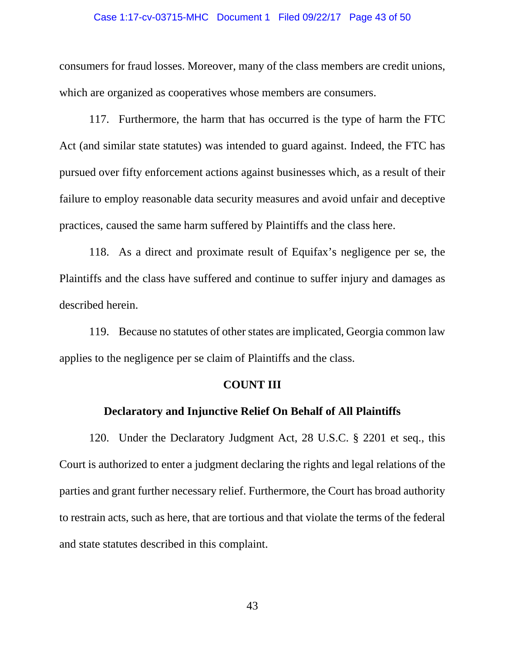#### Case 1:17-cv-03715-MHC Document 1 Filed 09/22/17 Page 43 of 50

consumers for fraud losses. Moreover, many of the class members are credit unions, which are organized as cooperatives whose members are consumers.

117. Furthermore, the harm that has occurred is the type of harm the FTC Act (and similar state statutes) was intended to guard against. Indeed, the FTC has pursued over fifty enforcement actions against businesses which, as a result of their failure to employ reasonable data security measures and avoid unfair and deceptive practices, caused the same harm suffered by Plaintiffs and the class here.

118. As a direct and proximate result of Equifax's negligence per se, the Plaintiffs and the class have suffered and continue to suffer injury and damages as described herein.

119. Because no statutes of other states are implicated, Georgia common law applies to the negligence per se claim of Plaintiffs and the class.

### **COUNT III**

### **Declaratory and Injunctive Relief On Behalf of All Plaintiffs**

120. Under the Declaratory Judgment Act, 28 U.S.C. § 2201 et seq., this Court is authorized to enter a judgment declaring the rights and legal relations of the parties and grant further necessary relief. Furthermore, the Court has broad authority to restrain acts, such as here, that are tortious and that violate the terms of the federal and state statutes described in this complaint.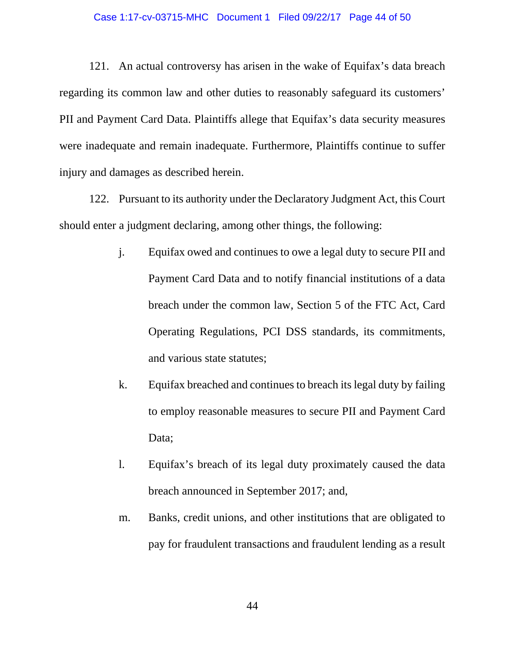#### Case 1:17-cv-03715-MHC Document 1 Filed 09/22/17 Page 44 of 50

121. An actual controversy has arisen in the wake of Equifax's data breach regarding its common law and other duties to reasonably safeguard its customers' PII and Payment Card Data. Plaintiffs allege that Equifax's data security measures were inadequate and remain inadequate. Furthermore, Plaintiffs continue to suffer injury and damages as described herein.

122. Pursuant to its authority under the Declaratory Judgment Act, this Court should enter a judgment declaring, among other things, the following:

- j. Equifax owed and continues to owe a legal duty to secure PII and Payment Card Data and to notify financial institutions of a data breach under the common law, Section 5 of the FTC Act, Card Operating Regulations, PCI DSS standards, its commitments, and various state statutes;
- k. Equifax breached and continues to breach its legal duty by failing to employ reasonable measures to secure PII and Payment Card Data;
- l. Equifax's breach of its legal duty proximately caused the data breach announced in September 2017; and,
- m. Banks, credit unions, and other institutions that are obligated to pay for fraudulent transactions and fraudulent lending as a result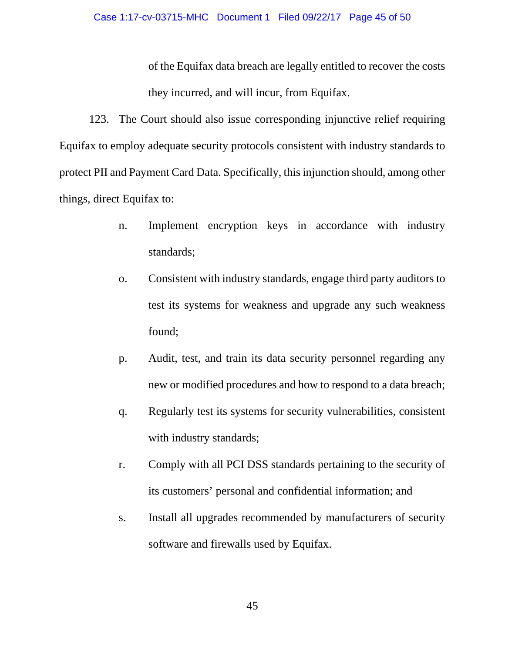of the Equifax data breach are legally entitled to recover the costs they incurred, and will incur, from Equifax.

123. The Court should also issue corresponding injunctive relief requiring Equifax to employ adequate security protocols consistent with industry standards to protect PII and Payment Card Data. Specifically, this injunction should, among other things, direct Equifax to:

- n. Implement encryption keys in accordance with industry standards;
- o. Consistent with industry standards, engage third party auditors to test its systems for weakness and upgrade any such weakness found;
- p. Audit, test, and train its data security personnel regarding any new or modified procedures and how to respond to a data breach;
- q. Regularly test its systems for security vulnerabilities, consistent with industry standards;
- r. Comply with all PCI DSS standards pertaining to the security of its customers' personal and confidential information; and
- s. Install all upgrades recommended by manufacturers of security software and firewalls used by Equifax.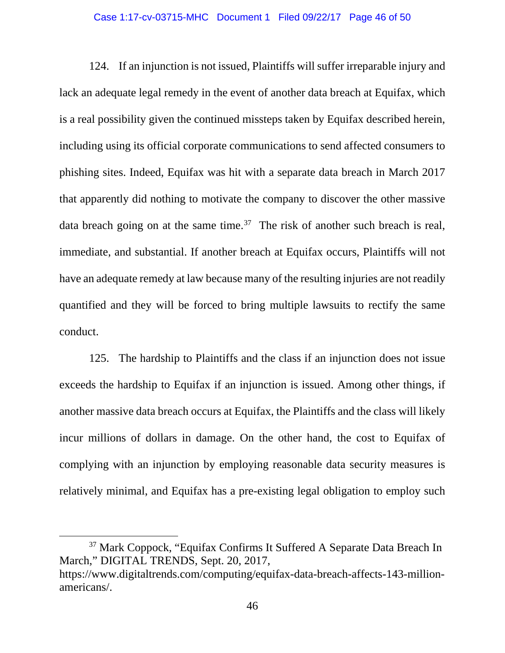#### Case 1:17-cv-03715-MHC Document 1 Filed 09/22/17 Page 46 of 50

124. If an injunction is not issued, Plaintiffs will suffer irreparable injury and lack an adequate legal remedy in the event of another data breach at Equifax, which is a real possibility given the continued missteps taken by Equifax described herein, including using its official corporate communications to send affected consumers to phishing sites. Indeed, Equifax was hit with a separate data breach in March 2017 that apparently did nothing to motivate the company to discover the other massive data breach going on at the same time.<sup>37</sup> The risk of another such breach is real, immediate, and substantial. If another breach at Equifax occurs, Plaintiffs will not have an adequate remedy at law because many of the resulting injuries are not readily quantified and they will be forced to bring multiple lawsuits to rectify the same conduct.

125. The hardship to Plaintiffs and the class if an injunction does not issue exceeds the hardship to Equifax if an injunction is issued. Among other things, if another massive data breach occurs at Equifax, the Plaintiffs and the class will likely incur millions of dollars in damage. On the other hand, the cost to Equifax of complying with an injunction by employing reasonable data security measures is relatively minimal, and Equifax has a pre-existing legal obligation to employ such

l

<span id="page-45-0"></span><sup>37</sup> Mark Coppock, "Equifax Confirms It Suffered A Separate Data Breach In March," DIGITAL TRENDS, Sept. 20, 2017, https://www.digitaltrends.com/computing/equifax-data-breach-affects-143-million-

americans/.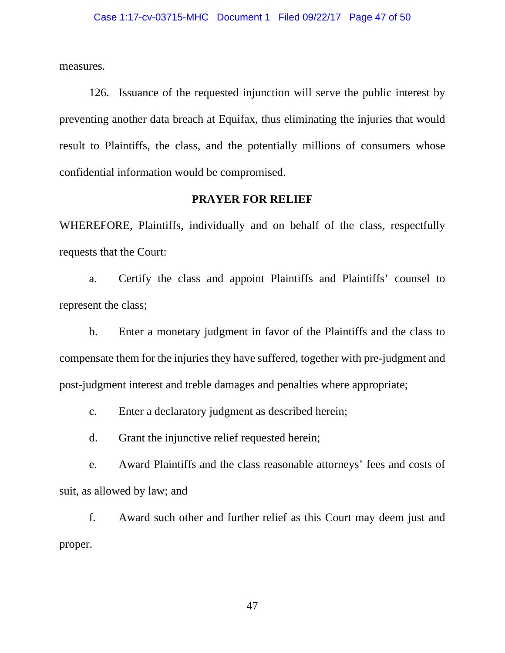measures.

126. Issuance of the requested injunction will serve the public interest by preventing another data breach at Equifax, thus eliminating the injuries that would result to Plaintiffs, the class, and the potentially millions of consumers whose confidential information would be compromised.

### **PRAYER FOR RELIEF**

WHEREFORE, Plaintiffs, individually and on behalf of the class, respectfully requests that the Court:

a. Certify the class and appoint Plaintiffs and Plaintiffs' counsel to represent the class;

b. Enter a monetary judgment in favor of the Plaintiffs and the class to compensate them for the injuries they have suffered, together with pre-judgment and post-judgment interest and treble damages and penalties where appropriate;

c. Enter a declaratory judgment as described herein;

d. Grant the injunctive relief requested herein;

e. Award Plaintiffs and the class reasonable attorneys' fees and costs of suit, as allowed by law; and

f. Award such other and further relief as this Court may deem just and proper.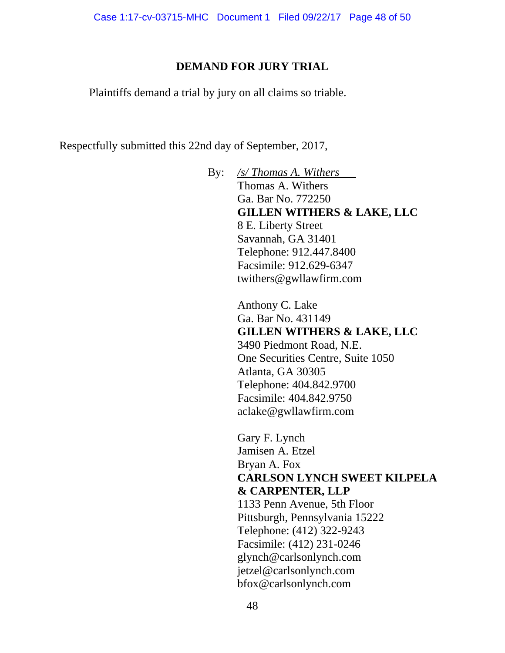## **DEMAND FOR JURY TRIAL**

Plaintiffs demand a trial by jury on all claims so triable.

Respectfully submitted this 22nd day of September, 2017,

By: */s/ Thomas A. Withers* Thomas A. Withers Ga. Bar No. 772250 **GILLEN WITHERS & LAKE, LLC** 8 E. Liberty Street Savannah, GA 31401 Telephone: 912.447.8400 Facsimile: 912.629-6347 twithers@gwllawfirm.com

> Anthony C. Lake Ga. Bar No. 431149 **GILLEN WITHERS & LAKE, LLC** 3490 Piedmont Road, N.E. One Securities Centre, Suite 1050 Atlanta, GA 30305 Telephone: 404.842.9700 Facsimile: 404.842.9750 aclake@gwllawfirm.com

Gary F. Lynch Jamisen A. Etzel Bryan A. Fox **CARLSON LYNCH SWEET KILPELA & CARPENTER, LLP** 1133 Penn Avenue, 5th Floor Pittsburgh, Pennsylvania 15222 Telephone: (412) 322-9243 Facsimile: (412) 231-0246 glynch@carlsonlynch.com jetzel@carlsonlynch.com bfox@carlsonlynch.com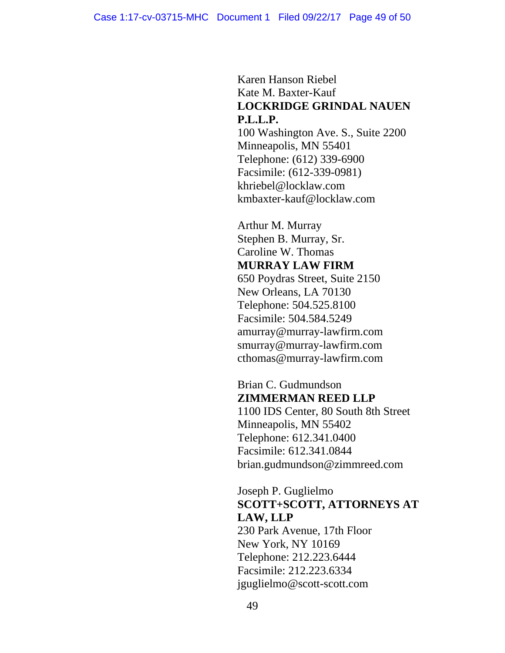Karen Hanson Riebel Kate M. Baxter-Kauf **LOCKRIDGE GRINDAL NAUEN P.L.L.P.**

100 Washington Ave. S., Suite 2200 Minneapolis, MN 55401 Telephone: (612) 339-6900 Facsimile: (612-339-0981) khriebel@locklaw.com kmbaxter-kauf@locklaw.com

Arthur M. Murray Stephen B. Murray, Sr. Caroline W. Thomas **MURRAY LAW FIRM** 650 Poydras Street, Suite 2150 New Orleans, LA 70130 Telephone: 504.525.8100 Facsimile: 504.584.5249 amurray@murray-lawfirm.com smurray@murray-lawfirm.com cthomas@murray-lawfirm.com

Brian C. Gudmundson **ZIMMERMAN REED LLP**

1100 IDS Center, 80 South 8th Street Minneapolis, MN 55402 Telephone: 612.341.0400 Facsimile: 612.341.0844 brian.gudmundson@zimmreed.com

## Joseph P. Guglielmo **SCOTT+SCOTT, ATTORNEYS AT LAW, LLP**

230 Park Avenue, 17th Floor New York, NY 10169 Telephone: 212.223.6444 Facsimile: 212.223.6334 jguglielmo@scott-scott.com